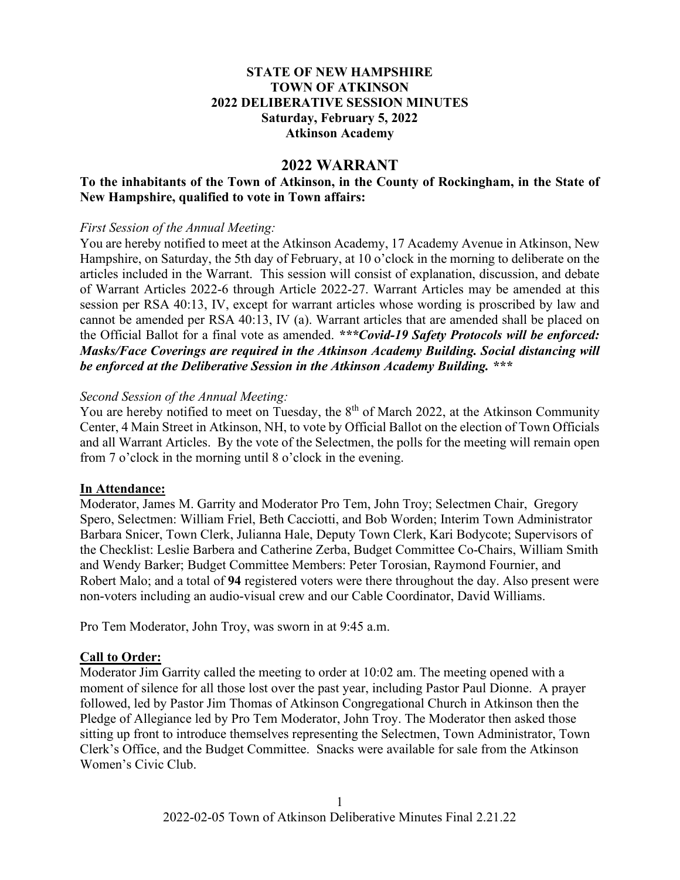## **STATE OF NEW HAMPSHIRE TOWN OF ATKINSON 2022 DELIBERATIVE SESSION MINUTES Saturday, February 5, 2022 Atkinson Academy**

## **2022 WARRANT**

## **To the inhabitants of the Town of Atkinson, in the County of Rockingham, in the State of New Hampshire, qualified to vote in Town affairs:**

#### *First Session of the Annual Meeting:*

You are hereby notified to meet at the Atkinson Academy, 17 Academy Avenue in Atkinson, New Hampshire, on Saturday, the 5th day of February, at 10 o'clock in the morning to deliberate on the articles included in the Warrant. This session will consist of explanation, discussion, and debate of Warrant Articles 2022-6 through Article 2022-27. Warrant Articles may be amended at this session per RSA 40:13, IV, except for warrant articles whose wording is proscribed by law and cannot be amended per RSA 40:13, IV (a). Warrant articles that are amended shall be placed on the Official Ballot for a final vote as amended. *\*\*\*Covid-19 Safety Protocols will be enforced: Masks/Face Coverings are required in the Atkinson Academy Building. Social distancing will be enforced at the Deliberative Session in the Atkinson Academy Building. \*\*\**

#### *Second Session of the Annual Meeting:*

You are hereby notified to meet on Tuesday, the  $8<sup>th</sup>$  of March 2022, at the Atkinson Community Center, 4 Main Street in Atkinson, NH, to vote by Official Ballot on the election of Town Officials and all Warrant Articles. By the vote of the Selectmen, the polls for the meeting will remain open from 7 o'clock in the morning until 8 o'clock in the evening.

## **In Attendance:**

Moderator, James M. Garrity and Moderator Pro Tem, John Troy; Selectmen Chair, Gregory Spero, Selectmen: William Friel, Beth Cacciotti, and Bob Worden; Interim Town Administrator Barbara Snicer, Town Clerk, Julianna Hale, Deputy Town Clerk, Kari Bodycote; Supervisors of the Checklist: Leslie Barbera and Catherine Zerba, Budget Committee Co-Chairs, William Smith and Wendy Barker; Budget Committee Members: Peter Torosian, Raymond Fournier, and Robert Malo; and a total of **94** registered voters were there throughout the day. Also present were non-voters including an audio-visual crew and our Cable Coordinator, David Williams.

Pro Tem Moderator, John Troy, was sworn in at 9:45 a.m.

## **Call to Order:**

Moderator Jim Garrity called the meeting to order at 10:02 am. The meeting opened with a moment of silence for all those lost over the past year, including Pastor Paul Dionne. A prayer followed, led by Pastor Jim Thomas of Atkinson Congregational Church in Atkinson then the Pledge of Allegiance led by Pro Tem Moderator, John Troy. The Moderator then asked those sitting up front to introduce themselves representing the Selectmen, Town Administrator, Town Clerk's Office, and the Budget Committee. Snacks were available for sale from the Atkinson Women's Civic Club.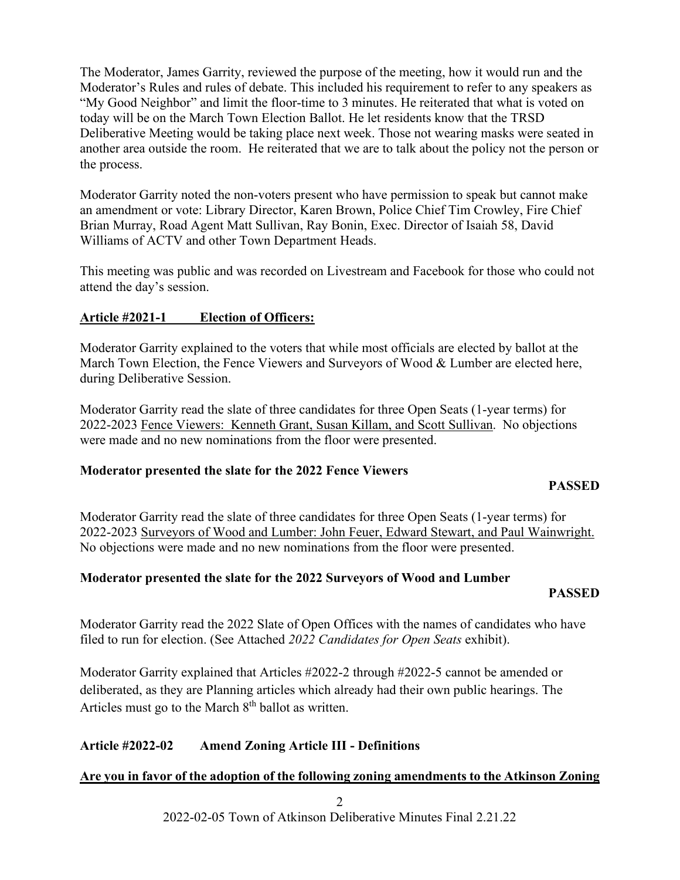The Moderator, James Garrity, reviewed the purpose of the meeting, how it would run and the Moderator's Rules and rules of debate. This included his requirement to refer to any speakers as "My Good Neighbor" and limit the floor-time to 3 minutes. He reiterated that what is voted on today will be on the March Town Election Ballot. He let residents know that the TRSD Deliberative Meeting would be taking place next week. Those not wearing masks were seated in another area outside the room. He reiterated that we are to talk about the policy not the person or the process.

Moderator Garrity noted the non-voters present who have permission to speak but cannot make an amendment or vote: Library Director, Karen Brown, Police Chief Tim Crowley, Fire Chief Brian Murray, Road Agent Matt Sullivan, Ray Bonin, Exec. Director of Isaiah 58, David Williams of ACTV and other Town Department Heads.

This meeting was public and was recorded on Livestream and Facebook for those who could not attend the day's session.

## **Article #2021-1 Election of Officers:**

Moderator Garrity explained to the voters that while most officials are elected by ballot at the March Town Election, the Fence Viewers and Surveyors of Wood & Lumber are elected here, during Deliberative Session.

Moderator Garrity read the slate of three candidates for three Open Seats (1-year terms) for 2022-2023 Fence Viewers: Kenneth Grant, Susan Killam, and Scott Sullivan. No objections were made and no new nominations from the floor were presented.

## **Moderator presented the slate for the 2022 Fence Viewers**

## **PASSED**

Moderator Garrity read the slate of three candidates for three Open Seats (1-year terms) for 2022-2023 Surveyors of Wood and Lumber: John Feuer, Edward Stewart, and Paul Wainwright. No objections were made and no new nominations from the floor were presented.

## **Moderator presented the slate for the 2022 Surveyors of Wood and Lumber**

## **PASSED**

Moderator Garrity read the 2022 Slate of Open Offices with the names of candidates who have filed to run for election. (See Attached *2022 Candidates for Open Seats* exhibit).

Moderator Garrity explained that Articles #2022-2 through #2022-5 cannot be amended or deliberated, as they are Planning articles which already had their own public hearings. The Articles must go to the March  $8<sup>th</sup>$  ballot as written.

## **Article #2022-02 Amend Zoning Article III - Definitions**

## **Are you in favor of the adoption of the following zoning amendments to the Atkinson Zoning**

2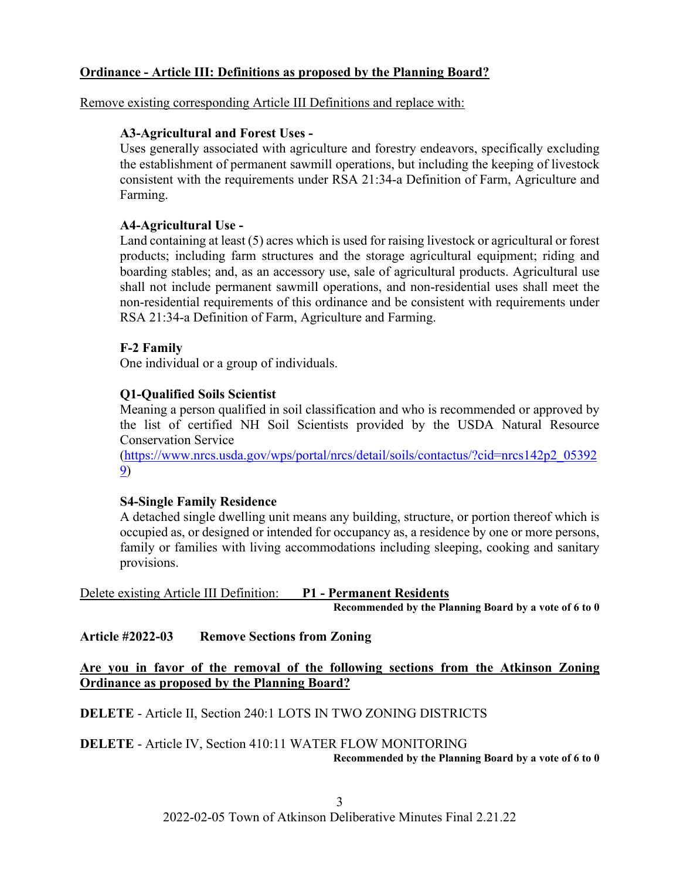## **Ordinance - Article III: Definitions as proposed by the Planning Board?**

Remove existing corresponding Article III Definitions and replace with:

## **A3-Agricultural and Forest Uses -**

Uses generally associated with agriculture and forestry endeavors, specifically excluding the establishment of permanent sawmill operations, but including the keeping of livestock consistent with the requirements under RSA 21:34-a Definition of Farm, Agriculture and Farming.

## **A4-Agricultural Use -**

Land containing at least (5) acres which is used for raising livestock or agricultural or forest products; including farm structures and the storage agricultural equipment; riding and boarding stables; and, as an accessory use, sale of agricultural products. Agricultural use shall not include permanent sawmill operations, and non-residential uses shall meet the non-residential requirements of this ordinance and be consistent with requirements under RSA 21:34-a Definition of Farm, Agriculture and Farming.

## **F-2 Family**

One individual or a group of individuals.

## **Q1-Qualified Soils Scientist**

Meaning a person qualified in soil classification and who is recommended or approved by the list of certified NH Soil Scientists provided by the USDA Natural Resource Conservation Service

[\(https://www.nrcs.usda.gov/wps/portal/nrcs/detail/soils/contactus/?cid=nrcs142p2\\_05392](https://www.nrcs.usda.gov/wps/portal/nrcs/detail/soils/contactus/?cid=nrcs142p2_053929) [9\)](https://www.nrcs.usda.gov/wps/portal/nrcs/detail/soils/contactus/?cid=nrcs142p2_053929)

## **S4-Single Family Residence**

A detached single dwelling unit means any building, structure, or portion thereof which is occupied as, or designed or intended for occupancy as, a residence by one or more persons, family or families with living accommodations including sleeping, cooking and sanitary provisions.

Delete existing Article III Definition: **P1 - Permanent Residents Recommended by the Planning Board by a vote of 6 to 0**

**Article #2022-03 Remove Sections from Zoning**

**Are you in favor of the removal of the following sections from the Atkinson Zoning Ordinance as proposed by the Planning Board?**

**DELETE** - Article II, Section 240:1 LOTS IN TWO ZONING DISTRICTS

## **DELETE** - Article IV, Section 410:11 WATER FLOW MONITORING

**Recommended by the Planning Board by a vote of 6 to 0**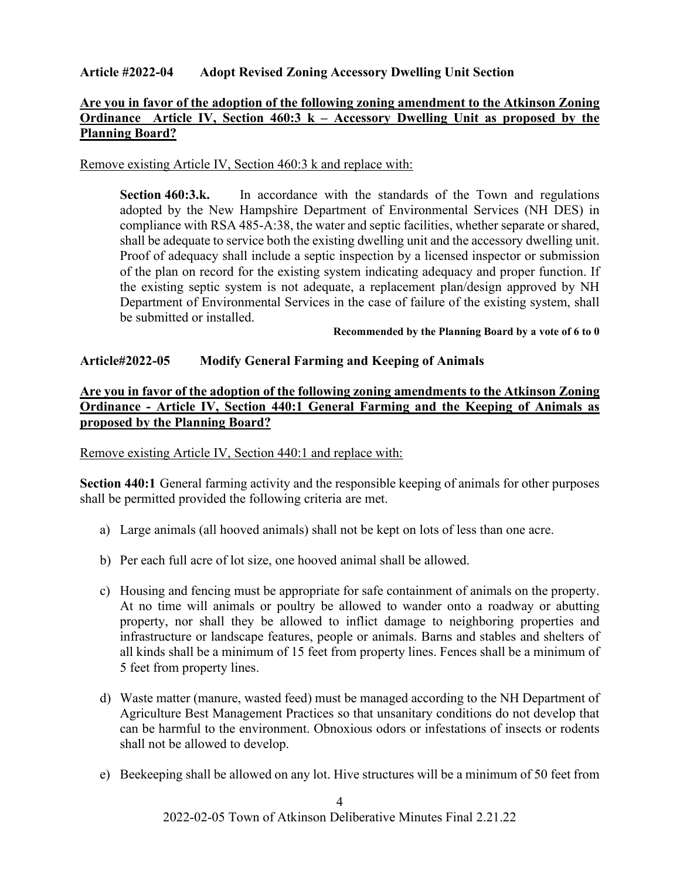## **Article #2022-04 Adopt Revised Zoning Accessory Dwelling Unit Section**

## **Are you in favor of the adoption of the following zoning amendment to the Atkinson Zoning Ordinance Article IV, Section 460:3 k – Accessory Dwelling Unit as proposed by the Planning Board?**

## Remove existing Article IV, Section 460:3 k and replace with:

**Section 460:3.k.** In accordance with the standards of the Town and regulations adopted by the New Hampshire Department of Environmental Services (NH DES) in compliance with RSA 485-A:38, the water and septic facilities, whether separate or shared, shall be adequate to service both the existing dwelling unit and the accessory dwelling unit. Proof of adequacy shall include a septic inspection by a licensed inspector or submission of the plan on record for the existing system indicating adequacy and proper function. If the existing septic system is not adequate, a replacement plan/design approved by NH Department of Environmental Services in the case of failure of the existing system, shall be submitted or installed.

**Recommended by the Planning Board by a vote of 6 to 0**

## **Article#2022-05 Modify General Farming and Keeping of Animals**

## **Are you in favor of the adoption of the following zoning amendments to the Atkinson Zoning Ordinance - Article IV, Section 440:1 General Farming and the Keeping of Animals as proposed by the Planning Board?**

Remove existing Article IV, Section 440:1 and replace with:

**Section 440:1** General farming activity and the responsible keeping of animals for other purposes shall be permitted provided the following criteria are met.

- a) Large animals (all hooved animals) shall not be kept on lots of less than one acre.
- b) Per each full acre of lot size, one hooved animal shall be allowed.
- c) Housing and fencing must be appropriate for safe containment of animals on the property. At no time will animals or poultry be allowed to wander onto a roadway or abutting property, nor shall they be allowed to inflict damage to neighboring properties and infrastructure or landscape features, people or animals. Barns and stables and shelters of all kinds shall be a minimum of 15 feet from property lines. Fences shall be a minimum of 5 feet from property lines.
- d) Waste matter (manure, wasted feed) must be managed according to the NH Department of Agriculture Best Management Practices so that unsanitary conditions do not develop that can be harmful to the environment. Obnoxious odors or infestations of insects or rodents shall not be allowed to develop.
- e) Beekeeping shall be allowed on any lot. Hive structures will be a minimum of 50 feet from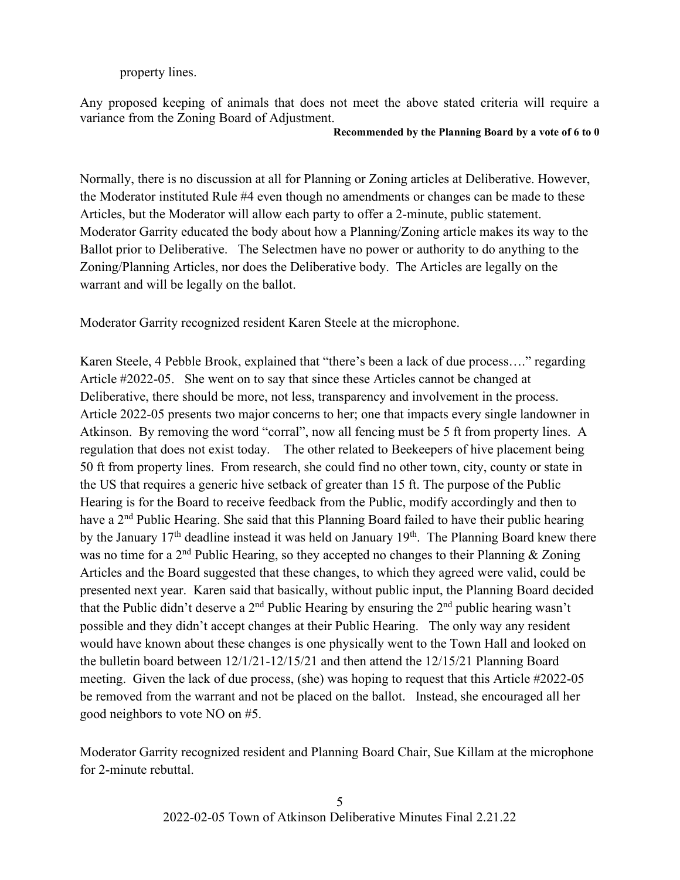## property lines.

Any proposed keeping of animals that does not meet the above stated criteria will require a variance from the Zoning Board of Adjustment.

#### **Recommended by the Planning Board by a vote of 6 to 0**

Normally, there is no discussion at all for Planning or Zoning articles at Deliberative. However, the Moderator instituted Rule #4 even though no amendments or changes can be made to these Articles, but the Moderator will allow each party to offer a 2-minute, public statement. Moderator Garrity educated the body about how a Planning/Zoning article makes its way to the Ballot prior to Deliberative. The Selectmen have no power or authority to do anything to the Zoning/Planning Articles, nor does the Deliberative body. The Articles are legally on the warrant and will be legally on the ballot.

Moderator Garrity recognized resident Karen Steele at the microphone.

Karen Steele, 4 Pebble Brook, explained that "there's been a lack of due process…." regarding Article #2022-05. She went on to say that since these Articles cannot be changed at Deliberative, there should be more, not less, transparency and involvement in the process. Article 2022-05 presents two major concerns to her; one that impacts every single landowner in Atkinson. By removing the word "corral", now all fencing must be 5 ft from property lines. A regulation that does not exist today. The other related to Beekeepers of hive placement being 50 ft from property lines. From research, she could find no other town, city, county or state in the US that requires a generic hive setback of greater than 15 ft. The purpose of the Public Hearing is for the Board to receive feedback from the Public, modify accordingly and then to have a 2<sup>nd</sup> Public Hearing. She said that this Planning Board failed to have their public hearing by the January  $17<sup>th</sup>$  deadline instead it was held on January  $19<sup>th</sup>$ . The Planning Board knew there was no time for a 2<sup>nd</sup> Public Hearing, so they accepted no changes to their Planning & Zoning Articles and the Board suggested that these changes, to which they agreed were valid, could be presented next year. Karen said that basically, without public input, the Planning Board decided that the Public didn't deserve a  $2<sup>nd</sup>$  Public Hearing by ensuring the  $2<sup>nd</sup>$  public hearing wasn't possible and they didn't accept changes at their Public Hearing. The only way any resident would have known about these changes is one physically went to the Town Hall and looked on the bulletin board between 12/1/21-12/15/21 and then attend the 12/15/21 Planning Board meeting. Given the lack of due process, (she) was hoping to request that this Article #2022-05 be removed from the warrant and not be placed on the ballot. Instead, she encouraged all her good neighbors to vote NO on #5.

Moderator Garrity recognized resident and Planning Board Chair, Sue Killam at the microphone for 2-minute rebuttal.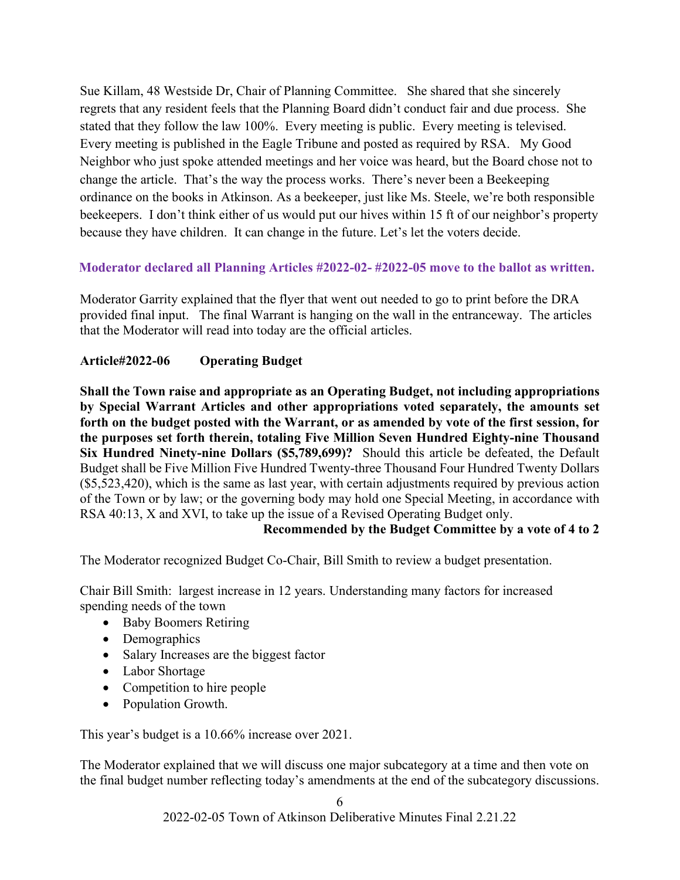Sue Killam, 48 Westside Dr, Chair of Planning Committee. She shared that she sincerely regrets that any resident feels that the Planning Board didn't conduct fair and due process. She stated that they follow the law 100%. Every meeting is public. Every meeting is televised. Every meeting is published in the Eagle Tribune and posted as required by RSA. My Good Neighbor who just spoke attended meetings and her voice was heard, but the Board chose not to change the article. That's the way the process works. There's never been a Beekeeping ordinance on the books in Atkinson. As a beekeeper, just like Ms. Steele, we're both responsible beekeepers. I don't think either of us would put our hives within 15 ft of our neighbor's property because they have children. It can change in the future. Let's let the voters decide.

## **Moderator declared all Planning Articles #2022-02- #2022-05 move to the ballot as written.**

Moderator Garrity explained that the flyer that went out needed to go to print before the DRA provided final input. The final Warrant is hanging on the wall in the entranceway. The articles that the Moderator will read into today are the official articles.

## **Article#2022-06 Operating Budget**

**Shall the Town raise and appropriate as an Operating Budget, not including appropriations by Special Warrant Articles and other appropriations voted separately, the amounts set forth on the budget posted with the Warrant, or as amended by vote of the first session, for the purposes set forth therein, totaling Five Million Seven Hundred Eighty-nine Thousand Six Hundred Ninety-nine Dollars (\$5,789,699)?** Should this article be defeated, the Default Budget shall be Five Million Five Hundred Twenty-three Thousand Four Hundred Twenty Dollars (\$5,523,420), which is the same as last year, with certain adjustments required by previous action of the Town or by law; or the governing body may hold one Special Meeting, in accordance with RSA 40:13, X and XVI, to take up the issue of a Revised Operating Budget only.

## **Recommended by the Budget Committee by a vote of 4 to 2**

The Moderator recognized Budget Co-Chair, Bill Smith to review a budget presentation.

Chair Bill Smith: largest increase in 12 years. Understanding many factors for increased spending needs of the town

- Baby Boomers Retiring
- Demographics
- Salary Increases are the biggest factor
- Labor Shortage
- Competition to hire people
- Population Growth.

This year's budget is a 10.66% increase over 2021.

The Moderator explained that we will discuss one major subcategory at a time and then vote on the final budget number reflecting today's amendments at the end of the subcategory discussions.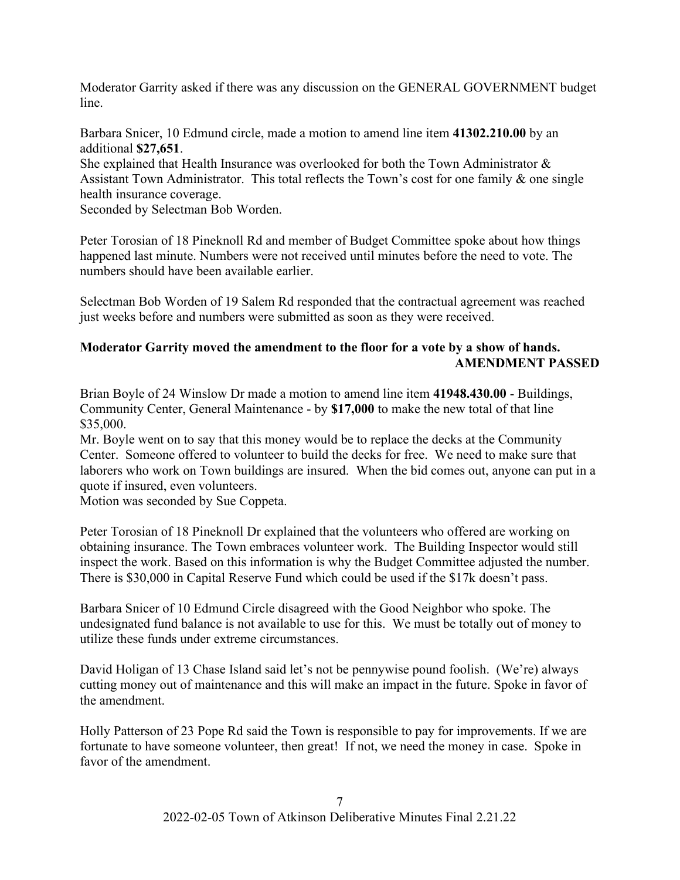Moderator Garrity asked if there was any discussion on the GENERAL GOVERNMENT budget line.

Barbara Snicer, 10 Edmund circle, made a motion to amend line item **41302.210.00** by an additional **\$27,651**.

She explained that Health Insurance was overlooked for both the Town Administrator  $\&$ Assistant Town Administrator. This total reflects the Town's cost for one family & one single health insurance coverage.

Seconded by Selectman Bob Worden.

Peter Torosian of 18 Pineknoll Rd and member of Budget Committee spoke about how things happened last minute. Numbers were not received until minutes before the need to vote. The numbers should have been available earlier.

Selectman Bob Worden of 19 Salem Rd responded that the contractual agreement was reached just weeks before and numbers were submitted as soon as they were received.

# **Moderator Garrity moved the amendment to the floor for a vote by a show of hands. AMENDMENT PASSED**

Brian Boyle of 24 Winslow Dr made a motion to amend line item **41948.430.00** - Buildings, Community Center, General Maintenance - by **\$17,000** to make the new total of that line \$35,000.

Mr. Boyle went on to say that this money would be to replace the decks at the Community Center. Someone offered to volunteer to build the decks for free. We need to make sure that laborers who work on Town buildings are insured. When the bid comes out, anyone can put in a quote if insured, even volunteers.

Motion was seconded by Sue Coppeta.

Peter Torosian of 18 Pineknoll Dr explained that the volunteers who offered are working on obtaining insurance. The Town embraces volunteer work. The Building Inspector would still inspect the work. Based on this information is why the Budget Committee adjusted the number. There is \$30,000 in Capital Reserve Fund which could be used if the \$17k doesn't pass.

Barbara Snicer of 10 Edmund Circle disagreed with the Good Neighbor who spoke. The undesignated fund balance is not available to use for this. We must be totally out of money to utilize these funds under extreme circumstances.

David Holigan of 13 Chase Island said let's not be pennywise pound foolish. (We're) always cutting money out of maintenance and this will make an impact in the future. Spoke in favor of the amendment.

Holly Patterson of 23 Pope Rd said the Town is responsible to pay for improvements. If we are fortunate to have someone volunteer, then great! If not, we need the money in case. Spoke in favor of the amendment.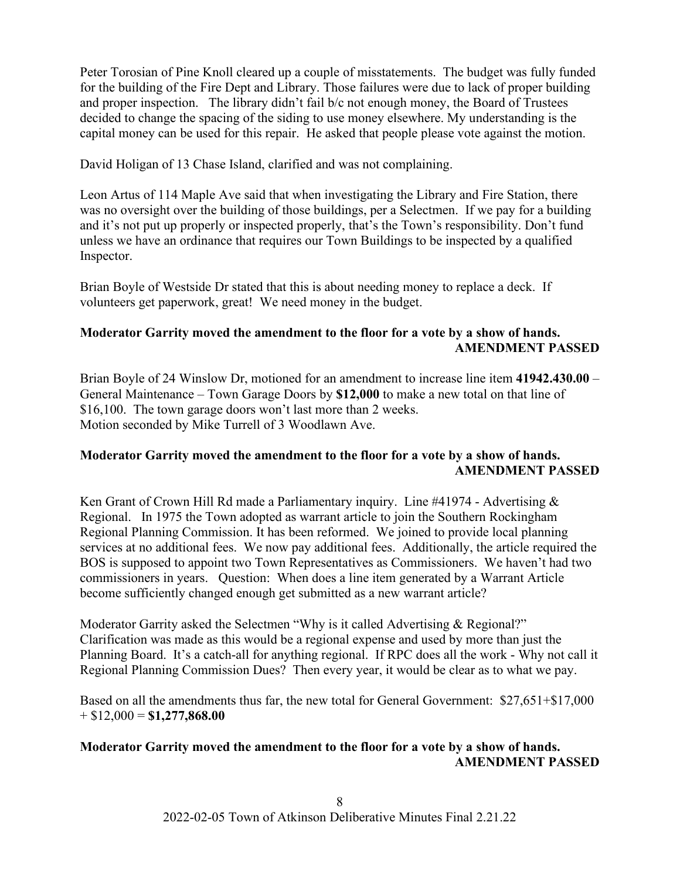Peter Torosian of Pine Knoll cleared up a couple of misstatements. The budget was fully funded for the building of the Fire Dept and Library. Those failures were due to lack of proper building and proper inspection. The library didn't fail b/c not enough money, the Board of Trustees decided to change the spacing of the siding to use money elsewhere. My understanding is the capital money can be used for this repair. He asked that people please vote against the motion.

David Holigan of 13 Chase Island, clarified and was not complaining.

Leon Artus of 114 Maple Ave said that when investigating the Library and Fire Station, there was no oversight over the building of those buildings, per a Selectmen. If we pay for a building and it's not put up properly or inspected properly, that's the Town's responsibility. Don't fund unless we have an ordinance that requires our Town Buildings to be inspected by a qualified Inspector.

Brian Boyle of Westside Dr stated that this is about needing money to replace a deck. If volunteers get paperwork, great! We need money in the budget.

## **Moderator Garrity moved the amendment to the floor for a vote by a show of hands. AMENDMENT PASSED**

Brian Boyle of 24 Winslow Dr, motioned for an amendment to increase line item **41942.430.00** – General Maintenance – Town Garage Doors by **\$12,000** to make a new total on that line of \$16,100. The town garage doors won't last more than 2 weeks. Motion seconded by Mike Turrell of 3 Woodlawn Ave.

## **Moderator Garrity moved the amendment to the floor for a vote by a show of hands. AMENDMENT PASSED**

Ken Grant of Crown Hill Rd made a Parliamentary inquiry. Line  $\#41974$  - Advertising  $\&$ Regional. In 1975 the Town adopted as warrant article to join the Southern Rockingham Regional Planning Commission. It has been reformed. We joined to provide local planning services at no additional fees. We now pay additional fees. Additionally, the article required the BOS is supposed to appoint two Town Representatives as Commissioners. We haven't had two commissioners in years. Question: When does a line item generated by a Warrant Article become sufficiently changed enough get submitted as a new warrant article?

Moderator Garrity asked the Selectmen "Why is it called Advertising & Regional?" Clarification was made as this would be a regional expense and used by more than just the Planning Board. It's a catch-all for anything regional. If RPC does all the work - Why not call it Regional Planning Commission Dues? Then every year, it would be clear as to what we pay.

Based on all the amendments thus far, the new total for General Government: \$27,651+\$17,000 + \$12,000 = **\$1,277,868.00**

## **Moderator Garrity moved the amendment to the floor for a vote by a show of hands. AMENDMENT PASSED**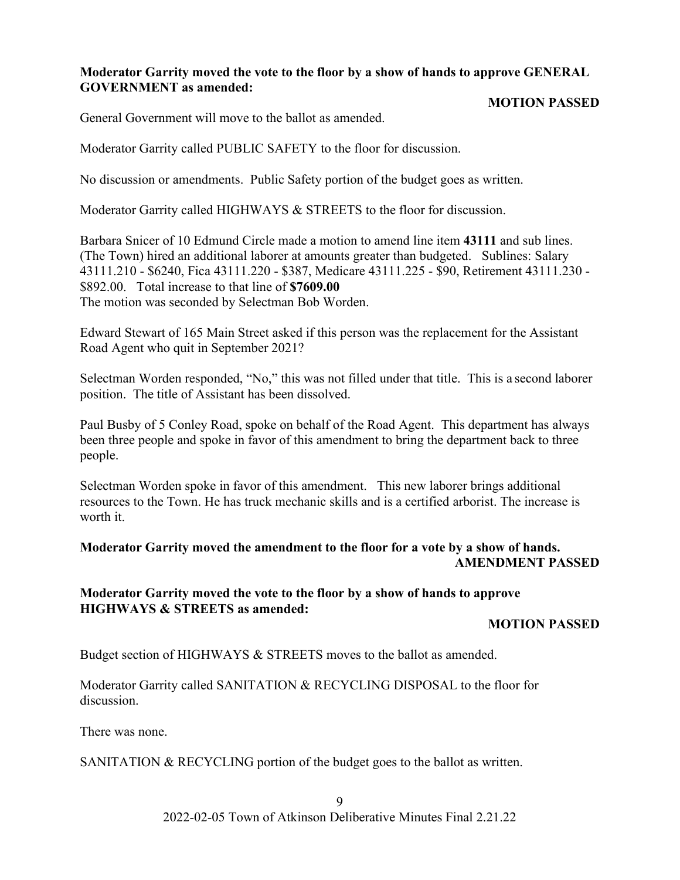## **Moderator Garrity moved the vote to the floor by a show of hands to approve GENERAL GOVERNMENT as amended:**

## **MOTION PASSED**

General Government will move to the ballot as amended.

Moderator Garrity called PUBLIC SAFETY to the floor for discussion.

No discussion or amendments. Public Safety portion of the budget goes as written.

Moderator Garrity called HIGHWAYS & STREETS to the floor for discussion.

Barbara Snicer of 10 Edmund Circle made a motion to amend line item **43111** and sub lines. (The Town) hired an additional laborer at amounts greater than budgeted. Sublines: Salary 43111.210 - \$6240, Fica 43111.220 - \$387, Medicare 43111.225 - \$90, Retirement 43111.230 - \$892.00. Total increase to that line of **\$7609.00** The motion was seconded by Selectman Bob Worden.

Edward Stewart of 165 Main Street asked if this person was the replacement for the Assistant Road Agent who quit in September 2021?

Selectman Worden responded, "No," this was not filled under that title. This is a second laborer position. The title of Assistant has been dissolved.

Paul Busby of 5 Conley Road, spoke on behalf of the Road Agent. This department has always been three people and spoke in favor of this amendment to bring the department back to three people.

Selectman Worden spoke in favor of this amendment. This new laborer brings additional resources to the Town. He has truck mechanic skills and is a certified arborist. The increase is worth it.

## **Moderator Garrity moved the amendment to the floor for a vote by a show of hands. AMENDMENT PASSED**

## **Moderator Garrity moved the vote to the floor by a show of hands to approve HIGHWAYS & STREETS as amended:**

## **MOTION PASSED**

Budget section of HIGHWAYS & STREETS moves to the ballot as amended.

Moderator Garrity called SANITATION & RECYCLING DISPOSAL to the floor for discussion.

There was none.

SANITATION & RECYCLING portion of the budget goes to the ballot as written.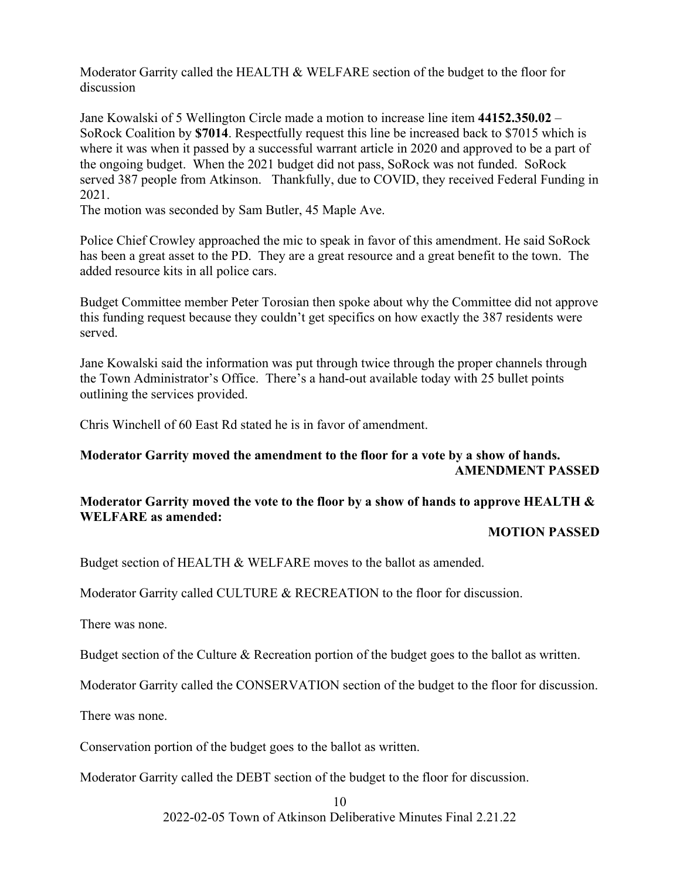Moderator Garrity called the HEALTH & WELFARE section of the budget to the floor for discussion

Jane Kowalski of 5 Wellington Circle made a motion to increase line item **44152.350.02** – SoRock Coalition by **\$7014**. Respectfully request this line be increased back to \$7015 which is where it was when it passed by a successful warrant article in 2020 and approved to be a part of the ongoing budget. When the 2021 budget did not pass, SoRock was not funded. SoRock served 387 people from Atkinson. Thankfully, due to COVID, they received Federal Funding in 2021.

The motion was seconded by Sam Butler, 45 Maple Ave.

Police Chief Crowley approached the mic to speak in favor of this amendment. He said SoRock has been a great asset to the PD. They are a great resource and a great benefit to the town. The added resource kits in all police cars.

Budget Committee member Peter Torosian then spoke about why the Committee did not approve this funding request because they couldn't get specifics on how exactly the 387 residents were served.

Jane Kowalski said the information was put through twice through the proper channels through the Town Administrator's Office. There's a hand-out available today with 25 bullet points outlining the services provided.

Chris Winchell of 60 East Rd stated he is in favor of amendment.

## **Moderator Garrity moved the amendment to the floor for a vote by a show of hands. AMENDMENT PASSED**

## **Moderator Garrity moved the vote to the floor by a show of hands to approve HEALTH & WELFARE as amended:**

#### **MOTION PASSED**

Budget section of HEALTH & WELFARE moves to the ballot as amended.

Moderator Garrity called CULTURE & RECREATION to the floor for discussion.

There was none.

Budget section of the Culture & Recreation portion of the budget goes to the ballot as written.

Moderator Garrity called the CONSERVATION section of the budget to the floor for discussion.

There was none.

Conservation portion of the budget goes to the ballot as written.

Moderator Garrity called the DEBT section of the budget to the floor for discussion.

10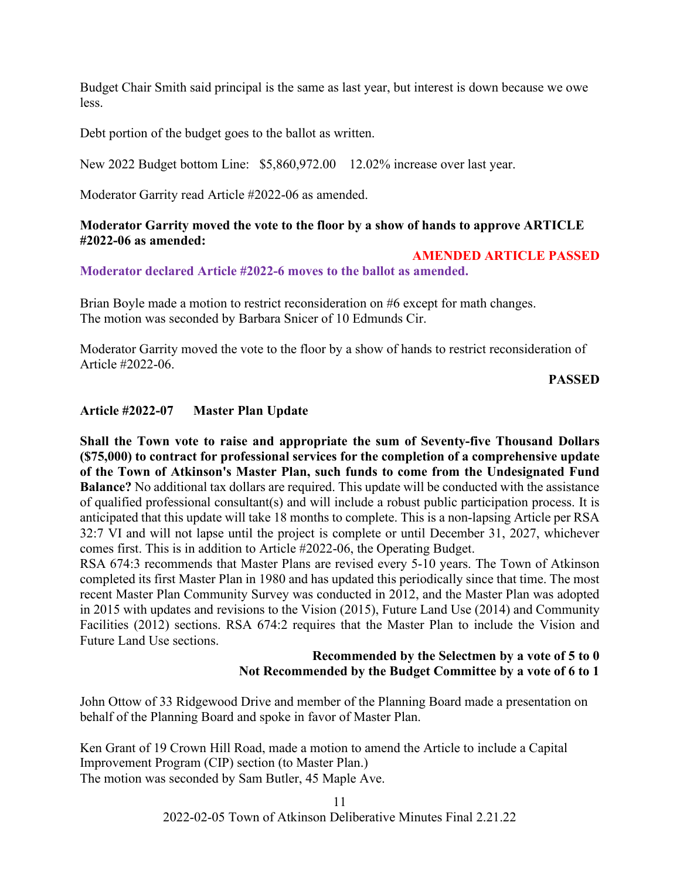Budget Chair Smith said principal is the same as last year, but interest is down because we owe less.

Debt portion of the budget goes to the ballot as written.

New 2022 Budget bottom Line: \$5,860,972.00 12.02% increase over last year.

Moderator Garrity read Article #2022-06 as amended.

#### **Moderator Garrity moved the vote to the floor by a show of hands to approve ARTICLE #2022-06 as amended:**

#### **AMENDED ARTICLE PASSED**

**Moderator declared Article #2022-6 moves to the ballot as amended.**

Brian Boyle made a motion to restrict reconsideration on #6 except for math changes. The motion was seconded by Barbara Snicer of 10 Edmunds Cir.

Moderator Garrity moved the vote to the floor by a show of hands to restrict reconsideration of Article #2022-06.

**PASSED**

## **Article #2022-07 Master Plan Update**

**Shall the Town vote to raise and appropriate the sum of Seventy-five Thousand Dollars (\$75,000) to contract for professional services for the completion of a comprehensive update of the Town of Atkinson's Master Plan, such funds to come from the Undesignated Fund Balance?** No additional tax dollars are required. This update will be conducted with the assistance of qualified professional consultant(s) and will include a robust public participation process. It is anticipated that this update will take 18 months to complete. This is a non-lapsing Article per RSA 32:7 VI and will not lapse until the project is complete or until December 31, 2027, whichever comes first. This is in addition to Article #2022-06, the Operating Budget.

RSA 674:3 recommends that Master Plans are revised every 5-10 years. The Town of Atkinson completed its first Master Plan in 1980 and has updated this periodically since that time. The most recent Master Plan Community Survey was conducted in 2012, and the Master Plan was adopted in 2015 with updates and revisions to the Vision (2015), Future Land Use (2014) and Community Facilities (2012) sections. RSA 674:2 requires that the Master Plan to include the Vision and Future Land Use sections.

## **Recommended by the Selectmen by a vote of 5 to 0 Not Recommended by the Budget Committee by a vote of 6 to 1**

John Ottow of 33 Ridgewood Drive and member of the Planning Board made a presentation on behalf of the Planning Board and spoke in favor of Master Plan.

Ken Grant of 19 Crown Hill Road, made a motion to amend the Article to include a Capital Improvement Program (CIP) section (to Master Plan.) The motion was seconded by Sam Butler, 45 Maple Ave.

11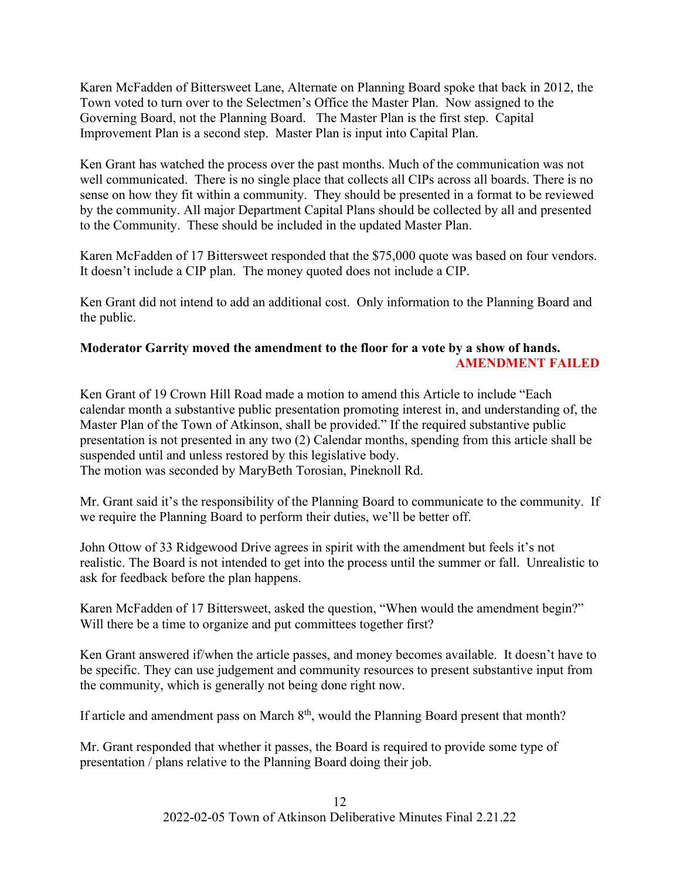Karen McFadden of Bittersweet Lane, Alternate on Planning Board spoke that back in 2012, the Town voted to turn over to the Selectmen's Office the Master Plan. Now assigned to the Governing Board, not the Planning Board. The Master Plan is the first step. Capital Improvement Plan is a second step. Master Plan is input into Capital Plan.

Ken Grant has watched the process over the past months. Much of the communication was not well communicated. There is no single place that collects all CIPs across all boards. There is no sense on how they fit within a community. They should be presented in a format to be reviewed by the community. All major Department Capital Plans should be collected by all and presented to the Community. These should be included in the updated Master Plan.

Karen McFadden of 17 Bittersweet responded that the \$75,000 quote was based on four vendors. It doesn't include a CIP plan. The money quoted does not include a CIP.

Ken Grant did not intend to add an additional cost. Only information to the Planning Board and the public.

## **Moderator Garrity moved the amendment to the floor for a vote by a show of hands. AMENDMENT FAILED**

Ken Grant of 19 Crown Hill Road made a motion to amend this Article to include "Each calendar month a substantive public presentation promoting interest in, and understanding of, the Master Plan of the Town of Atkinson, shall be provided." If the required substantive public presentation is not presented in any two (2) Calendar months, spending from this article shall be suspended until and unless restored by this legislative body. The motion was seconded by MaryBeth Torosian, Pineknoll Rd.

Mr. Grant said it's the responsibility of the Planning Board to communicate to the community. If we require the Planning Board to perform their duties, we'll be better off.

John Ottow of 33 Ridgewood Drive agrees in spirit with the amendment but feels it's not realistic. The Board is not intended to get into the process until the summer or fall. Unrealistic to ask for feedback before the plan happens.

Karen McFadden of 17 Bittersweet, asked the question, "When would the amendment begin?" Will there be a time to organize and put committees together first?

Ken Grant answered if/when the article passes, and money becomes available. It doesn't have to be specific. They can use judgement and community resources to present substantive input from the community, which is generally not being done right now.

If article and amendment pass on March  $8<sup>th</sup>$ , would the Planning Board present that month?

Mr. Grant responded that whether it passes, the Board is required to provide some type of presentation / plans relative to the Planning Board doing their job.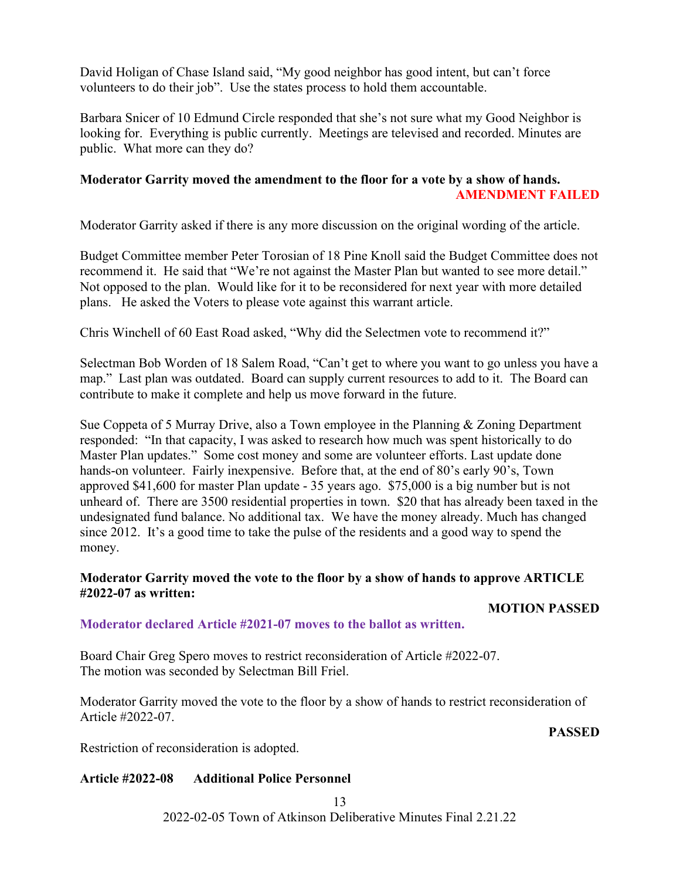David Holigan of Chase Island said, "My good neighbor has good intent, but can't force volunteers to do their job". Use the states process to hold them accountable.

Barbara Snicer of 10 Edmund Circle responded that she's not sure what my Good Neighbor is looking for. Everything is public currently. Meetings are televised and recorded. Minutes are public. What more can they do?

## **Moderator Garrity moved the amendment to the floor for a vote by a show of hands. AMENDMENT FAILED**

Moderator Garrity asked if there is any more discussion on the original wording of the article.

Budget Committee member Peter Torosian of 18 Pine Knoll said the Budget Committee does not recommend it. He said that "We're not against the Master Plan but wanted to see more detail." Not opposed to the plan. Would like for it to be reconsidered for next year with more detailed plans. He asked the Voters to please vote against this warrant article.

Chris Winchell of 60 East Road asked, "Why did the Selectmen vote to recommend it?"

Selectman Bob Worden of 18 Salem Road, "Can't get to where you want to go unless you have a map." Last plan was outdated. Board can supply current resources to add to it. The Board can contribute to make it complete and help us move forward in the future.

Sue Coppeta of 5 Murray Drive, also a Town employee in the Planning & Zoning Department responded: "In that capacity, I was asked to research how much was spent historically to do Master Plan updates." Some cost money and some are volunteer efforts. Last update done hands-on volunteer. Fairly inexpensive. Before that, at the end of 80's early 90's, Town approved \$41,600 for master Plan update - 35 years ago. \$75,000 is a big number but is not unheard of. There are 3500 residential properties in town. \$20 that has already been taxed in the undesignated fund balance. No additional tax. We have the money already. Much has changed since 2012. It's a good time to take the pulse of the residents and a good way to spend the money.

## **Moderator Garrity moved the vote to the floor by a show of hands to approve ARTICLE #2022-07 as written:**

## **MOTION PASSED**

## **Moderator declared Article #2021-07 moves to the ballot as written.**

Board Chair Greg Spero moves to restrict reconsideration of Article #2022-07. The motion was seconded by Selectman Bill Friel.

Moderator Garrity moved the vote to the floor by a show of hands to restrict reconsideration of Article #2022-07.

**PASSED**

Restriction of reconsideration is adopted.

## **Article #2022-08 Additional Police Personnel**

13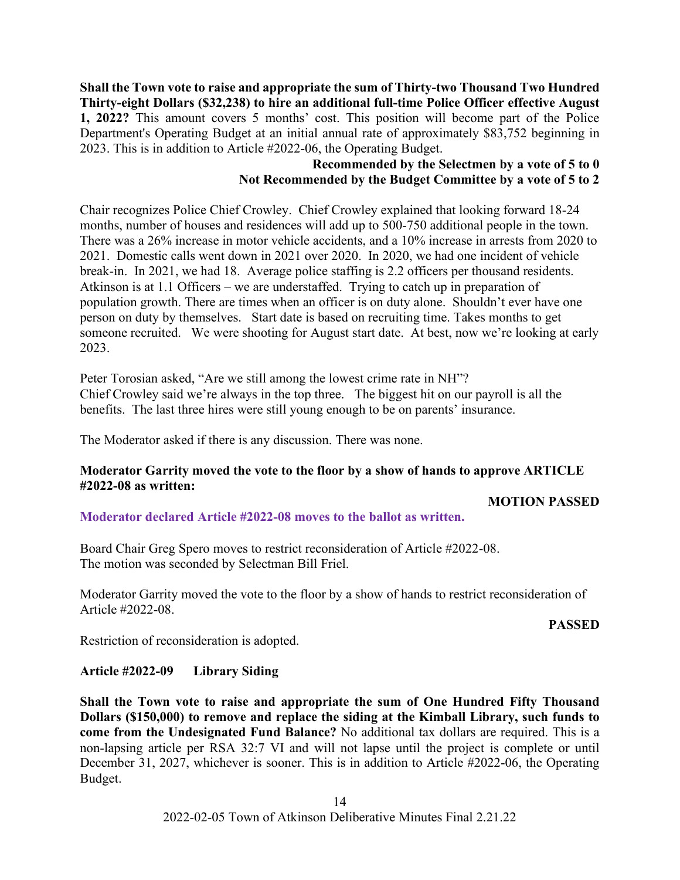**Shall the Town vote to raise and appropriate the sum of Thirty-two Thousand Two Hundred Thirty-eight Dollars (\$32,238) to hire an additional full-time Police Officer effective August 1, 2022?** This amount covers 5 months' cost. This position will become part of the Police Department's Operating Budget at an initial annual rate of approximately \$83,752 beginning in 2023. This is in addition to Article #2022-06, the Operating Budget.

## **Recommended by the Selectmen by a vote of 5 to 0 Not Recommended by the Budget Committee by a vote of 5 to 2**

Chair recognizes Police Chief Crowley. Chief Crowley explained that looking forward 18-24 months, number of houses and residences will add up to 500-750 additional people in the town. There was a 26% increase in motor vehicle accidents, and a 10% increase in arrests from 2020 to 2021. Domestic calls went down in 2021 over 2020. In 2020, we had one incident of vehicle break-in. In 2021, we had 18. Average police staffing is 2.2 officers per thousand residents. Atkinson is at 1.1 Officers – we are understaffed. Trying to catch up in preparation of population growth. There are times when an officer is on duty alone. Shouldn't ever have one person on duty by themselves. Start date is based on recruiting time. Takes months to get someone recruited. We were shooting for August start date. At best, now we're looking at early 2023.

Peter Torosian asked, "Are we still among the lowest crime rate in NH"? Chief Crowley said we're always in the top three. The biggest hit on our payroll is all the benefits. The last three hires were still young enough to be on parents' insurance.

The Moderator asked if there is any discussion. There was none.

## **Moderator Garrity moved the vote to the floor by a show of hands to approve ARTICLE #2022-08 as written:**

## **MOTION PASSED**

## **Moderator declared Article #2022-08 moves to the ballot as written.**

Board Chair Greg Spero moves to restrict reconsideration of Article #2022-08. The motion was seconded by Selectman Bill Friel.

Moderator Garrity moved the vote to the floor by a show of hands to restrict reconsideration of Article #2022-08.

## **PASSED**

Restriction of reconsideration is adopted.

## **Article #2022-09 Library Siding**

**Shall the Town vote to raise and appropriate the sum of One Hundred Fifty Thousand Dollars (\$150,000) to remove and replace the siding at the Kimball Library, such funds to come from the Undesignated Fund Balance?** No additional tax dollars are required. This is a non-lapsing article per RSA 32:7 VI and will not lapse until the project is complete or until December 31, 2027, whichever is sooner. This is in addition to Article #2022-06, the Operating Budget.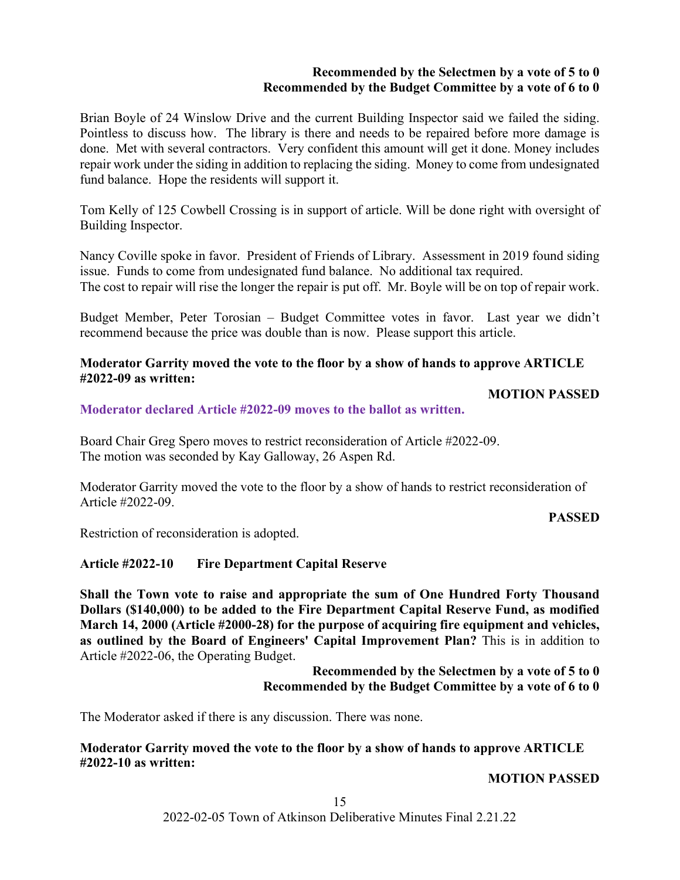## **Recommended by the Selectmen by a vote of 5 to 0 Recommended by the Budget Committee by a vote of 6 to 0**

Brian Boyle of 24 Winslow Drive and the current Building Inspector said we failed the siding. Pointless to discuss how. The library is there and needs to be repaired before more damage is done. Met with several contractors. Very confident this amount will get it done. Money includes repair work under the siding in addition to replacing the siding. Money to come from undesignated fund balance. Hope the residents will support it.

Tom Kelly of 125 Cowbell Crossing is in support of article. Will be done right with oversight of Building Inspector.

Nancy Coville spoke in favor. President of Friends of Library. Assessment in 2019 found siding issue. Funds to come from undesignated fund balance. No additional tax required. The cost to repair will rise the longer the repair is put off. Mr. Boyle will be on top of repair work.

Budget Member, Peter Torosian – Budget Committee votes in favor. Last year we didn't recommend because the price was double than is now. Please support this article.

#### **Moderator Garrity moved the vote to the floor by a show of hands to approve ARTICLE #2022-09 as written:**

#### **MOTION PASSED**

**Moderator declared Article #2022-09 moves to the ballot as written.**

Board Chair Greg Spero moves to restrict reconsideration of Article #2022-09. The motion was seconded by Kay Galloway, 26 Aspen Rd.

Moderator Garrity moved the vote to the floor by a show of hands to restrict reconsideration of Article #2022-09.

#### **PASSED**

Restriction of reconsideration is adopted.

## **Article #2022-10 Fire Department Capital Reserve**

**Shall the Town vote to raise and appropriate the sum of One Hundred Forty Thousand Dollars (\$140,000) to be added to the Fire Department Capital Reserve Fund, as modified March 14, 2000 (Article #2000-28) for the purpose of acquiring fire equipment and vehicles, as outlined by the Board of Engineers' Capital Improvement Plan?** This is in addition to Article #2022-06, the Operating Budget.

> **Recommended by the Selectmen by a vote of 5 to 0 Recommended by the Budget Committee by a vote of 6 to 0**

The Moderator asked if there is any discussion. There was none.

## **Moderator Garrity moved the vote to the floor by a show of hands to approve ARTICLE #2022-10 as written:**

**MOTION PASSED**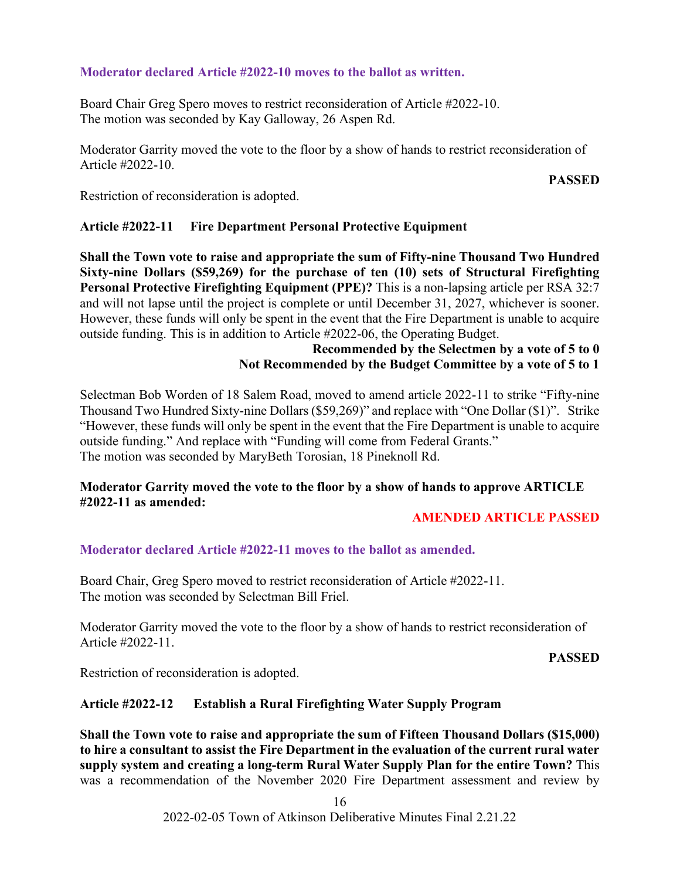## **Moderator declared Article #2022-10 moves to the ballot as written.**

Board Chair Greg Spero moves to restrict reconsideration of Article #2022-10. The motion was seconded by Kay Galloway, 26 Aspen Rd.

Moderator Garrity moved the vote to the floor by a show of hands to restrict reconsideration of Article #2022-10.

## **PASSED**

Restriction of reconsideration is adopted.

## **Article #2022-11 Fire Department Personal Protective Equipment**

**Shall the Town vote to raise and appropriate the sum of Fifty-nine Thousand Two Hundred Sixty-nine Dollars (\$59,269) for the purchase of ten (10) sets of Structural Firefighting Personal Protective Firefighting Equipment (PPE)?** This is a non-lapsing article per RSA 32:7 and will not lapse until the project is complete or until December 31, 2027, whichever is sooner. However, these funds will only be spent in the event that the Fire Department is unable to acquire outside funding. This is in addition to Article #2022-06, the Operating Budget.

## **Recommended by the Selectmen by a vote of 5 to 0 Not Recommended by the Budget Committee by a vote of 5 to 1**

Selectman Bob Worden of 18 Salem Road, moved to amend article 2022-11 to strike "Fifty-nine Thousand Two Hundred Sixty-nine Dollars (\$59,269)" and replace with "One Dollar (\$1)". Strike "However, these funds will only be spent in the event that the Fire Department is unable to acquire outside funding." And replace with "Funding will come from Federal Grants." The motion was seconded by MaryBeth Torosian, 18 Pineknoll Rd.

## **Moderator Garrity moved the vote to the floor by a show of hands to approve ARTICLE #2022-11 as amended:**

## **AMENDED ARTICLE PASSED**

## **Moderator declared Article #2022-11 moves to the ballot as amended.**

Board Chair, Greg Spero moved to restrict reconsideration of Article #2022-11. The motion was seconded by Selectman Bill Friel.

Moderator Garrity moved the vote to the floor by a show of hands to restrict reconsideration of Article #2022-11.

#### **PASSED**

Restriction of reconsideration is adopted.

## **Article #2022-12 Establish a Rural Firefighting Water Supply Program**

**Shall the Town vote to raise and appropriate the sum of Fifteen Thousand Dollars (\$15,000) to hire a consultant to assist the Fire Department in the evaluation of the current rural water supply system and creating a long-term Rural Water Supply Plan for the entire Town?** This was a recommendation of the November 2020 Fire Department assessment and review by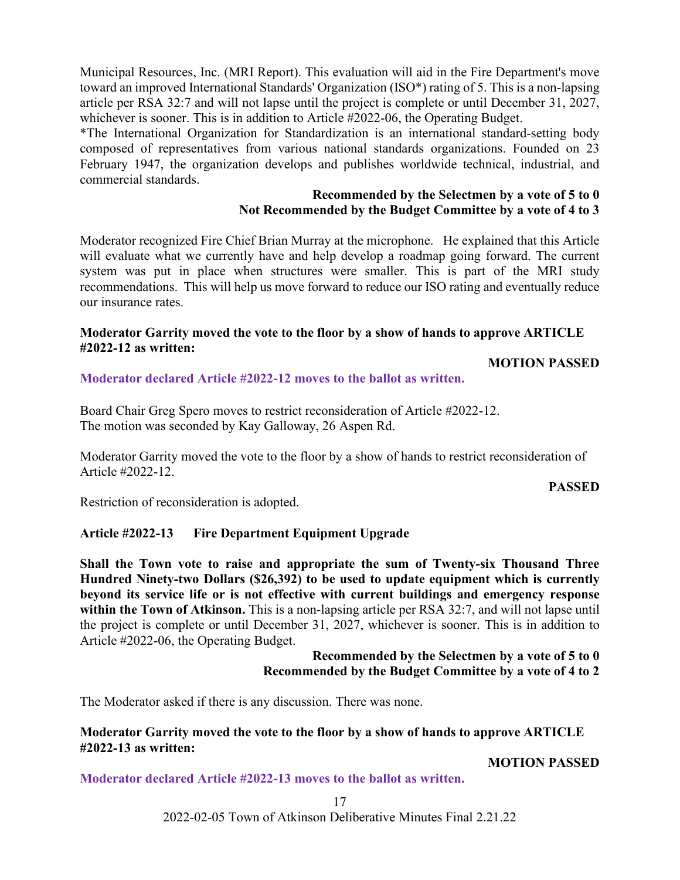Municipal Resources, Inc. (MRI Report). This evaluation will aid in the Fire Department's move toward an improved International Standards' Organization (ISO\*) rating of 5. This is a non-lapsing article per RSA 32:7 and will not lapse until the project is complete or until December 31, 2027, whichever is sooner. This is in addition to Article #2022-06, the Operating Budget.

\*The International Organization for Standardization is an international standard-setting body composed of representatives from various national standards organizations. Founded on 23 February 1947, the organization develops and publishes worldwide technical, industrial, and commercial standards.

## **Recommended by the Selectmen by a vote of 5 to 0 Not Recommended by the Budget Committee by a vote of 4 to 3**

Moderator recognized Fire Chief Brian Murray at the microphone. He explained that this Article will evaluate what we currently have and help develop a roadmap going forward. The current system was put in place when structures were smaller. This is part of the MRI study recommendations. This will help us move forward to reduce our ISO rating and eventually reduce our insurance rates.

## **Moderator Garrity moved the vote to the floor by a show of hands to approve ARTICLE #2022-12 as written:**

**MOTION PASSED**

**Moderator declared Article #2022-12 moves to the ballot as written.**

Board Chair Greg Spero moves to restrict reconsideration of Article #2022-12. The motion was seconded by Kay Galloway, 26 Aspen Rd.

Moderator Garrity moved the vote to the floor by a show of hands to restrict reconsideration of Article #2022-12.

## **PASSED**

Restriction of reconsideration is adopted.

## **Article #2022-13 Fire Department Equipment Upgrade**

**Shall the Town vote to raise and appropriate the sum of Twenty-six Thousand Three Hundred Ninety-two Dollars (\$26,392) to be used to update equipment which is currently beyond its service life or is not effective with current buildings and emergency response**  within the Town of Atkinson. This is a non-lapsing article per RSA 32:7, and will not lapse until the project is complete or until December 31, 2027, whichever is sooner. This is in addition to Article #2022-06, the Operating Budget.

> **Recommended by the Selectmen by a vote of 5 to 0 Recommended by the Budget Committee by a vote of 4 to 2**

The Moderator asked if there is any discussion. There was none.

## **Moderator Garrity moved the vote to the floor by a show of hands to approve ARTICLE #2022-13 as written:**

**MOTION PASSED**

**Moderator declared Article #2022-13 moves to the ballot as written.**

17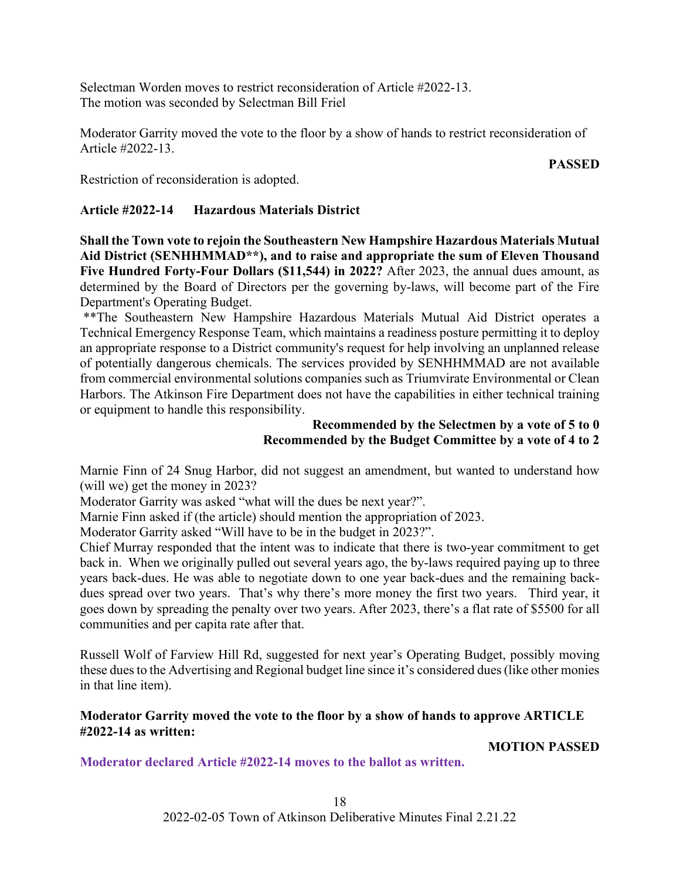Selectman Worden moves to restrict reconsideration of Article #2022-13. The motion was seconded by Selectman Bill Friel

Moderator Garrity moved the vote to the floor by a show of hands to restrict reconsideration of Article #2022-13.

#### **PASSED**

Restriction of reconsideration is adopted.

## **Article #2022-14 Hazardous Materials District**

**Shall the Town vote to rejoin the Southeastern New Hampshire Hazardous Materials Mutual Aid District (SENHHMMAD\*\*), and to raise and appropriate the sum of Eleven Thousand Five Hundred Forty-Four Dollars (\$11,544) in 2022?** After 2023, the annual dues amount, as determined by the Board of Directors per the governing by-laws, will become part of the Fire Department's Operating Budget.

\*\*The Southeastern New Hampshire Hazardous Materials Mutual Aid District operates a Technical Emergency Response Team, which maintains a readiness posture permitting it to deploy an appropriate response to a District community's request for help involving an unplanned release of potentially dangerous chemicals. The services provided by SENHHMMAD are not available from commercial environmental solutions companies such as Triumvirate Environmental or Clean Harbors. The Atkinson Fire Department does not have the capabilities in either technical training or equipment to handle this responsibility.

## **Recommended by the Selectmen by a vote of 5 to 0 Recommended by the Budget Committee by a vote of 4 to 2**

Marnie Finn of 24 Snug Harbor, did not suggest an amendment, but wanted to understand how (will we) get the money in 2023?

Moderator Garrity was asked "what will the dues be next year?".

Marnie Finn asked if (the article) should mention the appropriation of 2023.

Moderator Garrity asked "Will have to be in the budget in 2023?".

Chief Murray responded that the intent was to indicate that there is two-year commitment to get back in. When we originally pulled out several years ago, the by-laws required paying up to three years back-dues. He was able to negotiate down to one year back-dues and the remaining backdues spread over two years. That's why there's more money the first two years. Third year, it goes down by spreading the penalty over two years. After 2023, there's a flat rate of \$5500 for all communities and per capita rate after that.

Russell Wolf of Farview Hill Rd, suggested for next year's Operating Budget, possibly moving these dues to the Advertising and Regional budget line since it's considered dues (like other monies in that line item).

## **Moderator Garrity moved the vote to the floor by a show of hands to approve ARTICLE #2022-14 as written:**

# **MOTION PASSED**

**Moderator declared Article #2022-14 moves to the ballot as written.**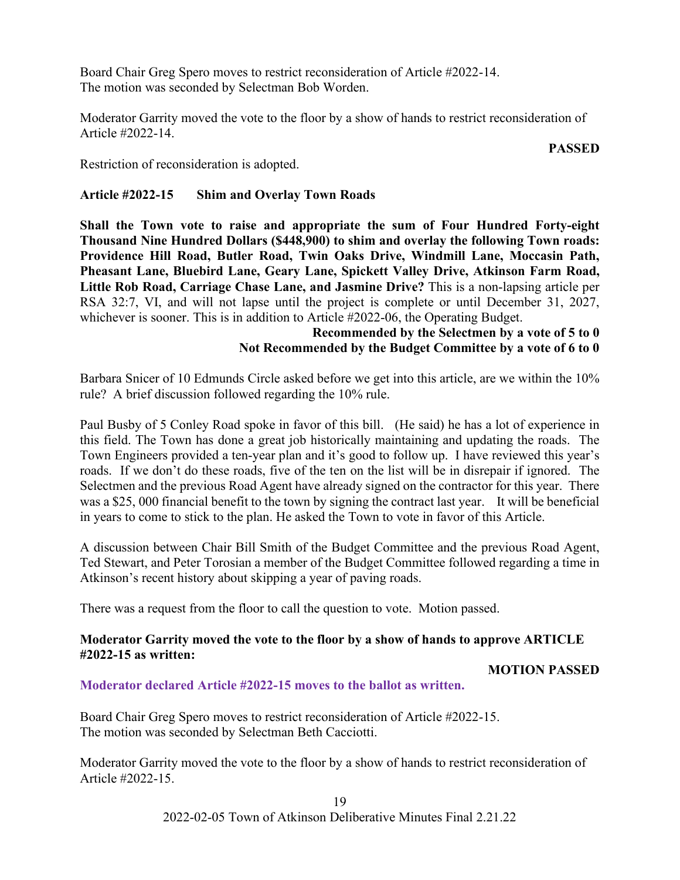Board Chair Greg Spero moves to restrict reconsideration of Article #2022-14. The motion was seconded by Selectman Bob Worden.

Moderator Garrity moved the vote to the floor by a show of hands to restrict reconsideration of Article #2022-14.

#### **PASSED**

Restriction of reconsideration is adopted.

## **Article #2022-15 Shim and Overlay Town Roads**

**Shall the Town vote to raise and appropriate the sum of Four Hundred Forty-eight Thousand Nine Hundred Dollars (\$448,900) to shim and overlay the following Town roads: Providence Hill Road, Butler Road, Twin Oaks Drive, Windmill Lane, Moccasin Path, Pheasant Lane, Bluebird Lane, Geary Lane, Spickett Valley Drive, Atkinson Farm Road, Little Rob Road, Carriage Chase Lane, and Jasmine Drive?** This is a non-lapsing article per RSA 32:7, VI, and will not lapse until the project is complete or until December 31, 2027, whichever is sooner. This is in addition to Article #2022-06, the Operating Budget.

## **Recommended by the Selectmen by a vote of 5 to 0 Not Recommended by the Budget Committee by a vote of 6 to 0**

Barbara Snicer of 10 Edmunds Circle asked before we get into this article, are we within the 10% rule? A brief discussion followed regarding the 10% rule.

Paul Busby of 5 Conley Road spoke in favor of this bill. (He said) he has a lot of experience in this field. The Town has done a great job historically maintaining and updating the roads. The Town Engineers provided a ten-year plan and it's good to follow up. I have reviewed this year's roads. If we don't do these roads, five of the ten on the list will be in disrepair if ignored. The Selectmen and the previous Road Agent have already signed on the contractor for this year. There was a \$25, 000 financial benefit to the town by signing the contract last year. It will be beneficial in years to come to stick to the plan. He asked the Town to vote in favor of this Article.

A discussion between Chair Bill Smith of the Budget Committee and the previous Road Agent, Ted Stewart, and Peter Torosian a member of the Budget Committee followed regarding a time in Atkinson's recent history about skipping a year of paving roads.

There was a request from the floor to call the question to vote. Motion passed.

## **Moderator Garrity moved the vote to the floor by a show of hands to approve ARTICLE #2022-15 as written:**

#### **MOTION PASSED**

#### **Moderator declared Article #2022-15 moves to the ballot as written.**

Board Chair Greg Spero moves to restrict reconsideration of Article #2022-15. The motion was seconded by Selectman Beth Cacciotti.

Moderator Garrity moved the vote to the floor by a show of hands to restrict reconsideration of Article #2022-15.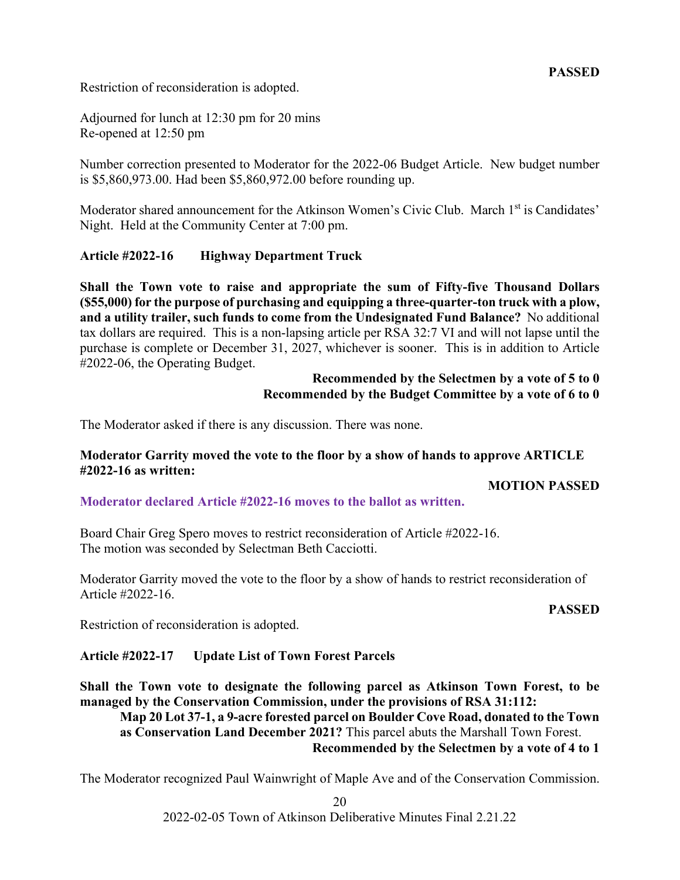Restriction of reconsideration is adopted.

Adjourned for lunch at 12:30 pm for 20 mins Re-opened at 12:50 pm

Number correction presented to Moderator for the 2022-06 Budget Article. New budget number is \$5,860,973.00. Had been \$5,860,972.00 before rounding up.

Moderator shared announcement for the Atkinson Women's Civic Club. March 1<sup>st</sup> is Candidates' Night. Held at the Community Center at 7:00 pm.

## **Article #2022-16 Highway Department Truck**

**Shall the Town vote to raise and appropriate the sum of Fifty-five Thousand Dollars (\$55,000) for the purpose of purchasing and equipping a three-quarter-ton truck with a plow, and a utility trailer, such funds to come from the Undesignated Fund Balance?** No additional tax dollars are required. This is a non-lapsing article per RSA 32:7 VI and will not lapse until the purchase is complete or December 31, 2027, whichever is sooner. This is in addition to Article #2022-06, the Operating Budget.

## **Recommended by the Selectmen by a vote of 5 to 0 Recommended by the Budget Committee by a vote of 6 to 0**

The Moderator asked if there is any discussion. There was none.

#### **Moderator Garrity moved the vote to the floor by a show of hands to approve ARTICLE #2022-16 as written:**

## **MOTION PASSED**

## **Moderator declared Article #2022-16 moves to the ballot as written.**

Board Chair Greg Spero moves to restrict reconsideration of Article #2022-16. The motion was seconded by Selectman Beth Cacciotti.

Moderator Garrity moved the vote to the floor by a show of hands to restrict reconsideration of Article #2022-16.

#### **PASSED**

Restriction of reconsideration is adopted.

## **Article #2022-17 Update List of Town Forest Parcels**

**Shall the Town vote to designate the following parcel as Atkinson Town Forest, to be managed by the Conservation Commission, under the provisions of RSA 31:112:**

**Map 20 Lot 37-1, a 9-acre forested parcel on Boulder Cove Road, donated to the Town as Conservation Land December 2021?** This parcel abuts the Marshall Town Forest. **Recommended by the Selectmen by a vote of 4 to 1**

The Moderator recognized Paul Wainwright of Maple Ave and of the Conservation Commission.

20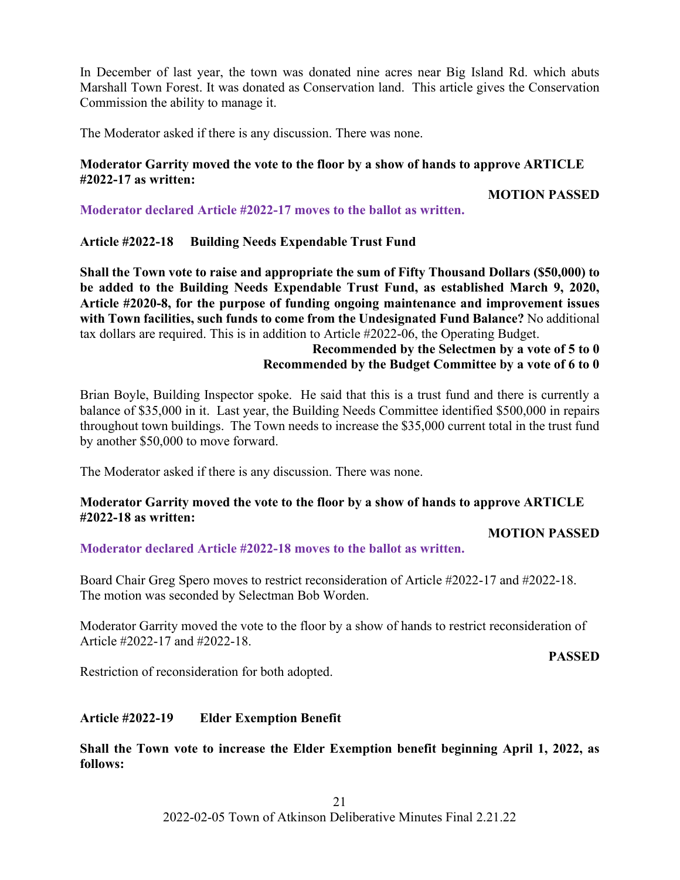In December of last year, the town was donated nine acres near Big Island Rd. which abuts Marshall Town Forest. It was donated as Conservation land. This article gives the Conservation Commission the ability to manage it.

The Moderator asked if there is any discussion. There was none.

## **Moderator Garrity moved the vote to the floor by a show of hands to approve ARTICLE #2022-17 as written:**

**MOTION PASSED**

**Moderator declared Article #2022-17 moves to the ballot as written.**

**Article #2022-18 Building Needs Expendable Trust Fund**

**Shall the Town vote to raise and appropriate the sum of Fifty Thousand Dollars (\$50,000) to be added to the Building Needs Expendable Trust Fund, as established March 9, 2020, Article #2020-8, for the purpose of funding ongoing maintenance and improvement issues with Town facilities, such funds to come from the Undesignated Fund Balance?** No additional tax dollars are required. This is in addition to Article #2022-06, the Operating Budget.

## **Recommended by the Selectmen by a vote of 5 to 0 Recommended by the Budget Committee by a vote of 6 to 0**

Brian Boyle, Building Inspector spoke. He said that this is a trust fund and there is currently a balance of \$35,000 in it. Last year, the Building Needs Committee identified \$500,000 in repairs throughout town buildings. The Town needs to increase the \$35,000 current total in the trust fund by another \$50,000 to move forward.

The Moderator asked if there is any discussion. There was none.

## **Moderator Garrity moved the vote to the floor by a show of hands to approve ARTICLE #2022-18 as written:**

## **MOTION PASSED**

**Moderator declared Article #2022-18 moves to the ballot as written.**

Board Chair Greg Spero moves to restrict reconsideration of Article #2022-17 and #2022-18. The motion was seconded by Selectman Bob Worden.

Moderator Garrity moved the vote to the floor by a show of hands to restrict reconsideration of Article #2022-17 and #2022-18.

**PASSED**

Restriction of reconsideration for both adopted.

## **Article #2022-19 Elder Exemption Benefit**

**Shall the Town vote to increase the Elder Exemption benefit beginning April 1, 2022, as follows:**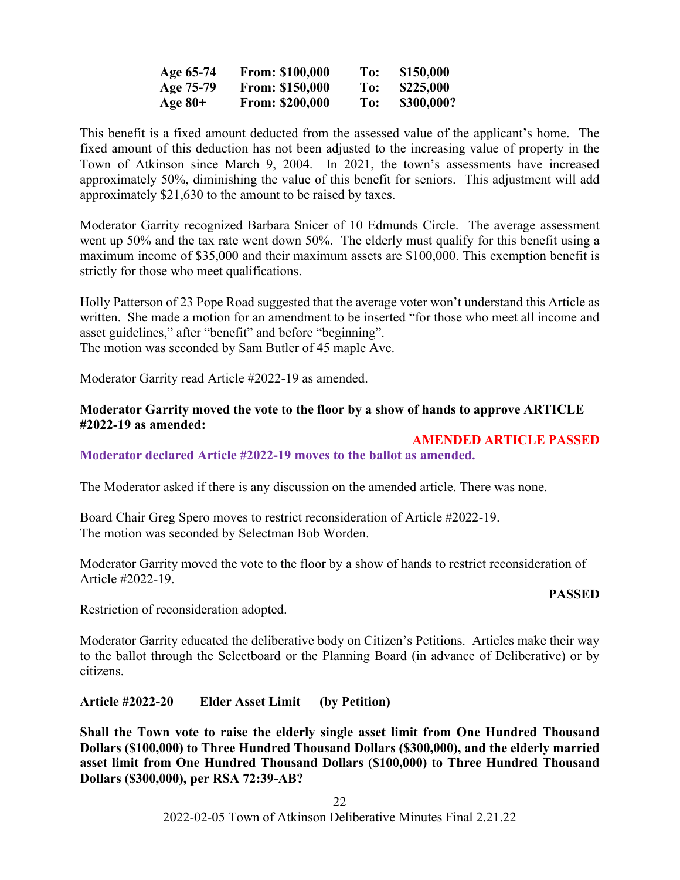| Age 65-74 | <b>From: \$100,000</b> | To: | \$150,000  |
|-----------|------------------------|-----|------------|
| Age 75-79 | <b>From: \$150,000</b> | To: | \$225,000  |
| Age $80+$ | <b>From: \$200,000</b> | To: | \$300,000? |

This benefit is a fixed amount deducted from the assessed value of the applicant's home. The fixed amount of this deduction has not been adjusted to the increasing value of property in the Town of Atkinson since March 9, 2004. In 2021, the town's assessments have increased approximately 50%, diminishing the value of this benefit for seniors. This adjustment will add approximately \$21,630 to the amount to be raised by taxes.

Moderator Garrity recognized Barbara Snicer of 10 Edmunds Circle. The average assessment went up 50% and the tax rate went down 50%. The elderly must qualify for this benefit using a maximum income of \$35,000 and their maximum assets are \$100,000. This exemption benefit is strictly for those who meet qualifications.

Holly Patterson of 23 Pope Road suggested that the average voter won't understand this Article as written. She made a motion for an amendment to be inserted "for those who meet all income and asset guidelines," after "benefit" and before "beginning". The motion was seconded by Sam Butler of 45 maple Ave.

Moderator Garrity read Article #2022-19 as amended.

## **Moderator Garrity moved the vote to the floor by a show of hands to approve ARTICLE #2022-19 as amended:**

## **AMENDED ARTICLE PASSED**

**Moderator declared Article #2022-19 moves to the ballot as amended.**

The Moderator asked if there is any discussion on the amended article. There was none.

Board Chair Greg Spero moves to restrict reconsideration of Article #2022-19. The motion was seconded by Selectman Bob Worden.

Moderator Garrity moved the vote to the floor by a show of hands to restrict reconsideration of Article #2022-19.

#### **PASSED**

Restriction of reconsideration adopted.

Moderator Garrity educated the deliberative body on Citizen's Petitions. Articles make their way to the ballot through the Selectboard or the Planning Board (in advance of Deliberative) or by citizens.

**Article #2022-20 Elder Asset Limit (by Petition)**

**Shall the Town vote to raise the elderly single asset limit from One Hundred Thousand Dollars (\$100,000) to Three Hundred Thousand Dollars (\$300,000), and the elderly married asset limit from One Hundred Thousand Dollars (\$100,000) to Three Hundred Thousand Dollars (\$300,000), per RSA 72:39-AB?**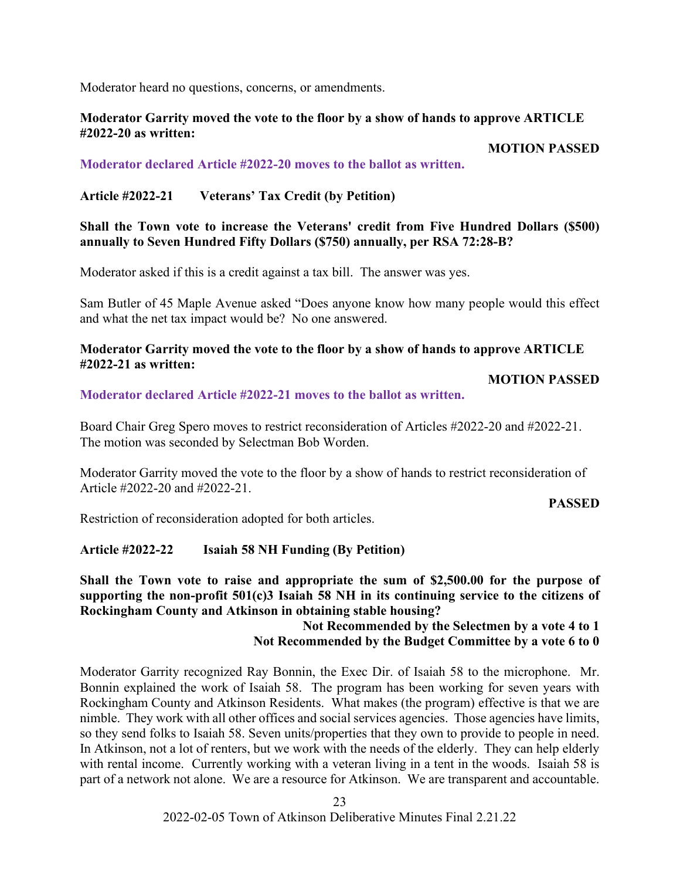Moderator heard no questions, concerns, or amendments.

## **Moderator Garrity moved the vote to the floor by a show of hands to approve ARTICLE #2022-20 as written:**

**MOTION PASSED**

**Moderator declared Article #2022-20 moves to the ballot as written.**

## **Article #2022-21 Veterans' Tax Credit (by Petition)**

**Shall the Town vote to increase the Veterans' credit from Five Hundred Dollars (\$500) annually to Seven Hundred Fifty Dollars (\$750) annually, per RSA 72:28-B?**

Moderator asked if this is a credit against a tax bill. The answer was yes.

Sam Butler of 45 Maple Avenue asked "Does anyone know how many people would this effect and what the net tax impact would be? No one answered.

## **Moderator Garrity moved the vote to the floor by a show of hands to approve ARTICLE #2022-21 as written:**

#### **MOTION PASSED**

**Moderator declared Article #2022-21 moves to the ballot as written.**

Board Chair Greg Spero moves to restrict reconsideration of Articles #2022-20 and #2022-21. The motion was seconded by Selectman Bob Worden.

Moderator Garrity moved the vote to the floor by a show of hands to restrict reconsideration of Article #2022-20 and #2022-21.

**PASSED**

Restriction of reconsideration adopted for both articles.

## **Article #2022-22 Isaiah 58 NH Funding (By Petition)**

**Shall the Town vote to raise and appropriate the sum of \$2,500.00 for the purpose of supporting the non-profit 501(c)3 Isaiah 58 NH in its continuing service to the citizens of Rockingham County and Atkinson in obtaining stable housing?**

## **Not Recommended by the Selectmen by a vote 4 to 1 Not Recommended by the Budget Committee by a vote 6 to 0**

Moderator Garrity recognized Ray Bonnin, the Exec Dir. of Isaiah 58 to the microphone. Mr. Bonnin explained the work of Isaiah 58. The program has been working for seven years with Rockingham County and Atkinson Residents. What makes (the program) effective is that we are nimble. They work with all other offices and social services agencies. Those agencies have limits, so they send folks to Isaiah 58. Seven units/properties that they own to provide to people in need. In Atkinson, not a lot of renters, but we work with the needs of the elderly. They can help elderly with rental income. Currently working with a veteran living in a tent in the woods. Isaiah 58 is part of a network not alone. We are a resource for Atkinson. We are transparent and accountable.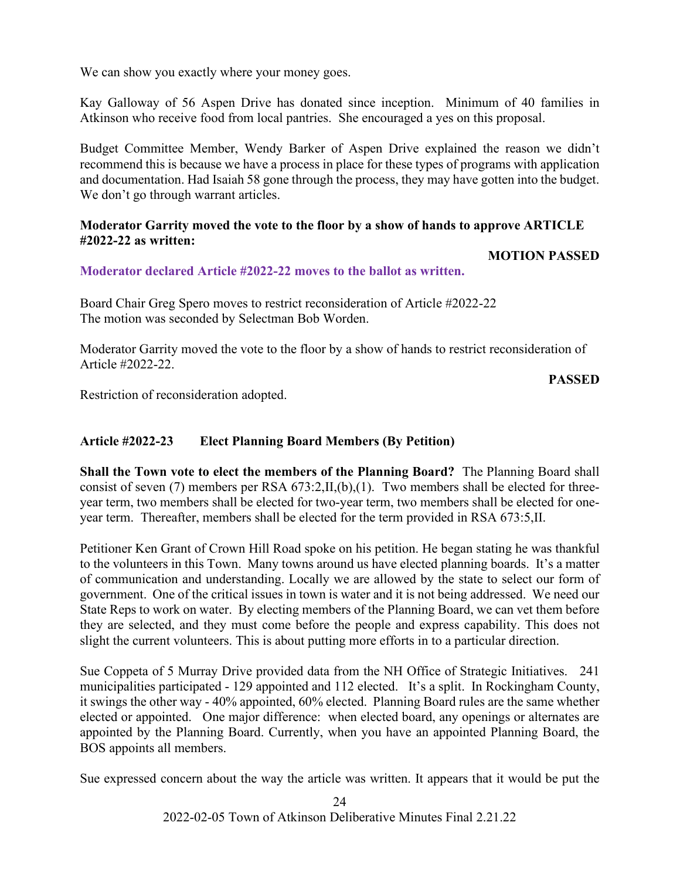We can show you exactly where your money goes.

Kay Galloway of 56 Aspen Drive has donated since inception. Minimum of 40 families in Atkinson who receive food from local pantries. She encouraged a yes on this proposal.

Budget Committee Member, Wendy Barker of Aspen Drive explained the reason we didn't recommend this is because we have a process in place for these types of programs with application and documentation. Had Isaiah 58 gone through the process, they may have gotten into the budget. We don't go through warrant articles.

## **Moderator Garrity moved the vote to the floor by a show of hands to approve ARTICLE #2022-22 as written:**

## **MOTION PASSED**

## **Moderator declared Article #2022-22 moves to the ballot as written.**

Board Chair Greg Spero moves to restrict reconsideration of Article #2022-22 The motion was seconded by Selectman Bob Worden.

Moderator Garrity moved the vote to the floor by a show of hands to restrict reconsideration of Article #2022-22.

**PASSED**

Restriction of reconsideration adopted.

## **Article #2022-23 Elect Planning Board Members (By Petition)**

**Shall the Town vote to elect the members of the Planning Board?** The Planning Board shall consist of seven (7) members per RSA 673:2,II,(b),(1). Two members shall be elected for threeyear term, two members shall be elected for two-year term, two members shall be elected for oneyear term. Thereafter, members shall be elected for the term provided in RSA 673:5,II.

Petitioner Ken Grant of Crown Hill Road spoke on his petition. He began stating he was thankful to the volunteers in this Town. Many towns around us have elected planning boards. It's a matter of communication and understanding. Locally we are allowed by the state to select our form of government. One of the critical issues in town is water and it is not being addressed. We need our State Reps to work on water. By electing members of the Planning Board, we can vet them before they are selected, and they must come before the people and express capability. This does not slight the current volunteers. This is about putting more efforts in to a particular direction.

Sue Coppeta of 5 Murray Drive provided data from the NH Office of Strategic Initiatives. 241 municipalities participated - 129 appointed and 112 elected. It's a split. In Rockingham County, it swings the other way - 40% appointed, 60% elected. Planning Board rules are the same whether elected or appointed. One major difference: when elected board, any openings or alternates are appointed by the Planning Board. Currently, when you have an appointed Planning Board, the BOS appoints all members.

Sue expressed concern about the way the article was written. It appears that it would be put the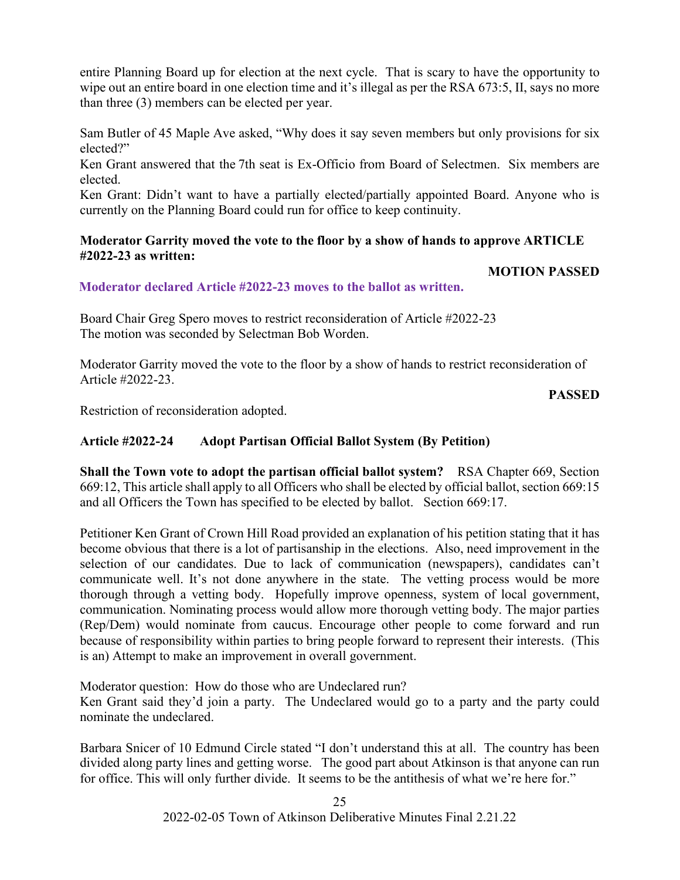entire Planning Board up for election at the next cycle. That is scary to have the opportunity to wipe out an entire board in one election time and it's illegal as per the RSA 673:5, II, says no more than three (3) members can be elected per year.

Sam Butler of 45 Maple Ave asked, "Why does it say seven members but only provisions for six elected?"

Ken Grant answered that the 7th seat is Ex-Officio from Board of Selectmen. Six members are elected.

Ken Grant: Didn't want to have a partially elected/partially appointed Board. Anyone who is currently on the Planning Board could run for office to keep continuity.

## **Moderator Garrity moved the vote to the floor by a show of hands to approve ARTICLE #2022-23 as written:**

## **MOTION PASSED**

## **Moderator declared Article #2022-23 moves to the ballot as written.**

Board Chair Greg Spero moves to restrict reconsideration of Article #2022-23 The motion was seconded by Selectman Bob Worden.

Moderator Garrity moved the vote to the floor by a show of hands to restrict reconsideration of Article #2022-23.

**PASSED**

Restriction of reconsideration adopted.

## **Article #2022-24 Adopt Partisan Official Ballot System (By Petition)**

**Shall the Town vote to adopt the partisan official ballot system?** RSA Chapter 669, Section 669:12, This article shall apply to all Officers who shall be elected by official ballot, section 669:15 and all Officers the Town has specified to be elected by ballot. Section 669:17.

Petitioner Ken Grant of Crown Hill Road provided an explanation of his petition stating that it has become obvious that there is a lot of partisanship in the elections. Also, need improvement in the selection of our candidates. Due to lack of communication (newspapers), candidates can't communicate well. It's not done anywhere in the state. The vetting process would be more thorough through a vetting body. Hopefully improve openness, system of local government, communication. Nominating process would allow more thorough vetting body. The major parties (Rep/Dem) would nominate from caucus. Encourage other people to come forward and run because of responsibility within parties to bring people forward to represent their interests. (This is an) Attempt to make an improvement in overall government.

Moderator question: How do those who are Undeclared run? Ken Grant said they'd join a party. The Undeclared would go to a party and the party could nominate the undeclared.

Barbara Snicer of 10 Edmund Circle stated "I don't understand this at all. The country has been divided along party lines and getting worse. The good part about Atkinson is that anyone can run for office. This will only further divide. It seems to be the antithesis of what we're here for."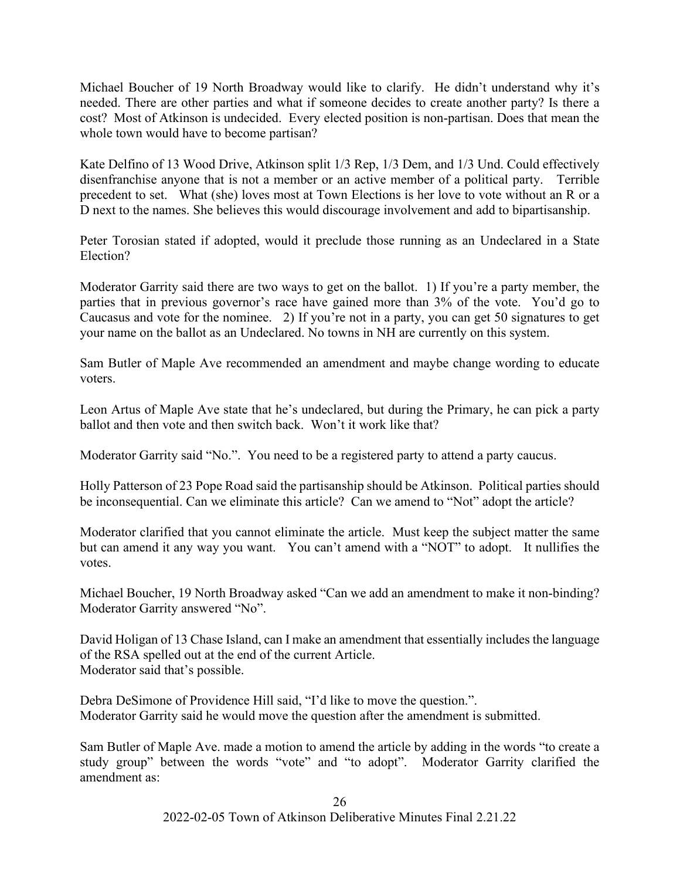Michael Boucher of 19 North Broadway would like to clarify. He didn't understand why it's needed. There are other parties and what if someone decides to create another party? Is there a cost? Most of Atkinson is undecided. Every elected position is non-partisan. Does that mean the whole town would have to become partisan?

Kate Delfino of 13 Wood Drive, Atkinson split 1/3 Rep, 1/3 Dem, and 1/3 Und. Could effectively disenfranchise anyone that is not a member or an active member of a political party. Terrible precedent to set. What (she) loves most at Town Elections is her love to vote without an R or a D next to the names. She believes this would discourage involvement and add to bipartisanship.

Peter Torosian stated if adopted, would it preclude those running as an Undeclared in a State Election?

Moderator Garrity said there are two ways to get on the ballot. 1) If you're a party member, the parties that in previous governor's race have gained more than 3% of the vote. You'd go to Caucasus and vote for the nominee. 2) If you're not in a party, you can get 50 signatures to get your name on the ballot as an Undeclared. No towns in NH are currently on this system.

Sam Butler of Maple Ave recommended an amendment and maybe change wording to educate voters.

Leon Artus of Maple Ave state that he's undeclared, but during the Primary, he can pick a party ballot and then vote and then switch back. Won't it work like that?

Moderator Garrity said "No.". You need to be a registered party to attend a party caucus.

Holly Patterson of 23 Pope Road said the partisanship should be Atkinson. Political parties should be inconsequential. Can we eliminate this article? Can we amend to "Not" adopt the article?

Moderator clarified that you cannot eliminate the article. Must keep the subject matter the same but can amend it any way you want. You can't amend with a "NOT" to adopt. It nullifies the votes.

Michael Boucher, 19 North Broadway asked "Can we add an amendment to make it non-binding? Moderator Garrity answered "No".

David Holigan of 13 Chase Island, can I make an amendment that essentially includes the language of the RSA spelled out at the end of the current Article. Moderator said that's possible.

Debra DeSimone of Providence Hill said, "I'd like to move the question.". Moderator Garrity said he would move the question after the amendment is submitted.

Sam Butler of Maple Ave. made a motion to amend the article by adding in the words "to create a study group" between the words "vote" and "to adopt". Moderator Garrity clarified the amendment as: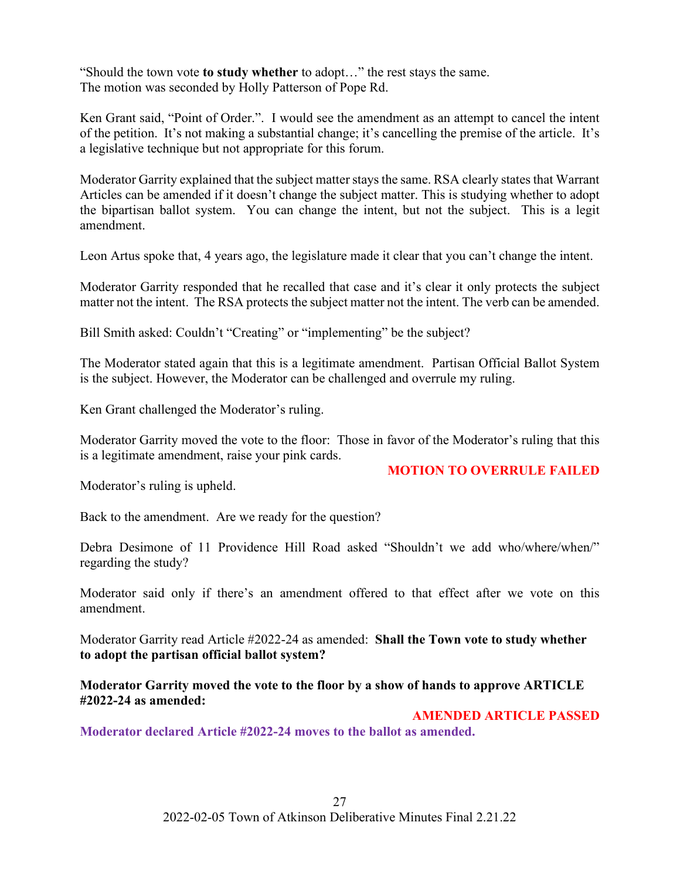"Should the town vote **to study whether** to adopt…" the rest stays the same. The motion was seconded by Holly Patterson of Pope Rd.

Ken Grant said, "Point of Order.". I would see the amendment as an attempt to cancel the intent of the petition. It's not making a substantial change; it's cancelling the premise of the article. It's a legislative technique but not appropriate for this forum.

Moderator Garrity explained that the subject matter stays the same. RSA clearly states that Warrant Articles can be amended if it doesn't change the subject matter. This is studying whether to adopt the bipartisan ballot system. You can change the intent, but not the subject. This is a legit amendment.

Leon Artus spoke that, 4 years ago, the legislature made it clear that you can't change the intent.

Moderator Garrity responded that he recalled that case and it's clear it only protects the subject matter not the intent. The RSA protects the subject matter not the intent. The verb can be amended.

Bill Smith asked: Couldn't "Creating" or "implementing" be the subject?

The Moderator stated again that this is a legitimate amendment. Partisan Official Ballot System is the subject. However, the Moderator can be challenged and overrule my ruling.

Ken Grant challenged the Moderator's ruling.

Moderator Garrity moved the vote to the floor: Those in favor of the Moderator's ruling that this is a legitimate amendment, raise your pink cards.

## **MOTION TO OVERRULE FAILED**

Moderator's ruling is upheld.

Back to the amendment. Are we ready for the question?

Debra Desimone of 11 Providence Hill Road asked "Shouldn't we add who/where/when/" regarding the study?

Moderator said only if there's an amendment offered to that effect after we vote on this amendment.

Moderator Garrity read Article #2022-24 as amended: **Shall the Town vote to study whether to adopt the partisan official ballot system?** 

**Moderator Garrity moved the vote to the floor by a show of hands to approve ARTICLE #2022-24 as amended:**

## **AMENDED ARTICLE PASSED**

**Moderator declared Article #2022-24 moves to the ballot as amended.**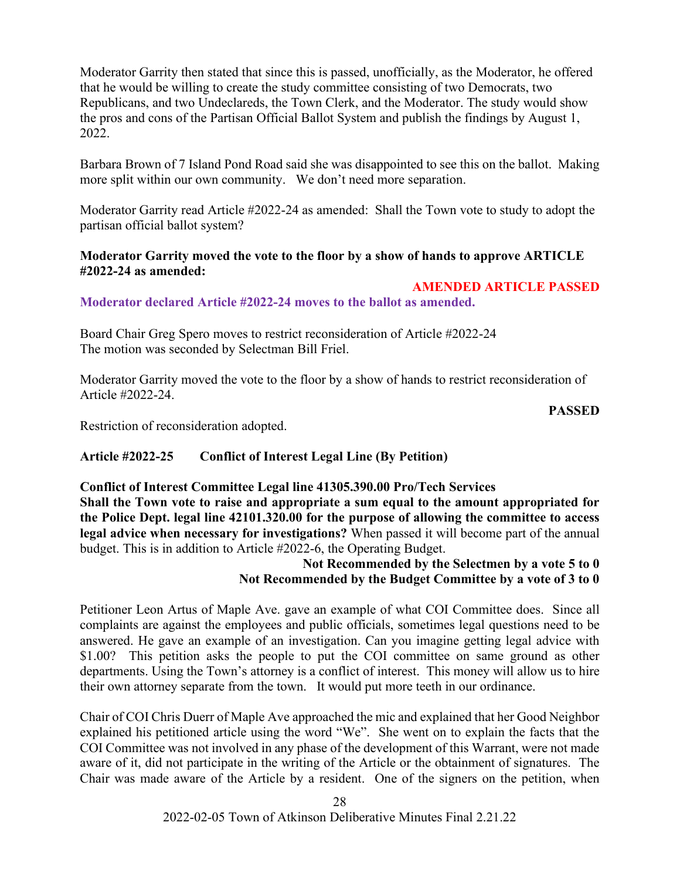Moderator Garrity then stated that since this is passed, unofficially, as the Moderator, he offered that he would be willing to create the study committee consisting of two Democrats, two Republicans, and two Undeclareds, the Town Clerk, and the Moderator. The study would show the pros and cons of the Partisan Official Ballot System and publish the findings by August 1, 2022.

Barbara Brown of 7 Island Pond Road said she was disappointed to see this on the ballot. Making more split within our own community. We don't need more separation.

Moderator Garrity read Article #2022-24 as amended: Shall the Town vote to study to adopt the partisan official ballot system?

## **Moderator Garrity moved the vote to the floor by a show of hands to approve ARTICLE #2022-24 as amended:**

## **AMENDED ARTICLE PASSED**

**Moderator declared Article #2022-24 moves to the ballot as amended.**

Board Chair Greg Spero moves to restrict reconsideration of Article #2022-24 The motion was seconded by Selectman Bill Friel.

Moderator Garrity moved the vote to the floor by a show of hands to restrict reconsideration of Article #2022-24.

**PASSED**

Restriction of reconsideration adopted.

## **Article #2022-25 Conflict of Interest Legal Line (By Petition)**

## **Conflict of Interest Committee Legal line 41305.390.00 Pro/Tech Services Shall the Town vote to raise and appropriate a sum equal to the amount appropriated for the Police Dept. legal line 42101.320.00 for the purpose of allowing the committee to access legal advice when necessary for investigations?** When passed it will become part of the annual budget. This is in addition to Article #2022-6, the Operating Budget.

## **Not Recommended by the Selectmen by a vote 5 to 0 Not Recommended by the Budget Committee by a vote of 3 to 0**

Petitioner Leon Artus of Maple Ave. gave an example of what COI Committee does. Since all complaints are against the employees and public officials, sometimes legal questions need to be answered. He gave an example of an investigation. Can you imagine getting legal advice with \$1.00? This petition asks the people to put the COI committee on same ground as other departments. Using the Town's attorney is a conflict of interest. This money will allow us to hire their own attorney separate from the town. It would put more teeth in our ordinance.

Chair of COI Chris Duerr of Maple Ave approached the mic and explained that her Good Neighbor explained his petitioned article using the word "We". She went on to explain the facts that the COI Committee was not involved in any phase of the development of this Warrant, were not made aware of it, did not participate in the writing of the Article or the obtainment of signatures. The Chair was made aware of the Article by a resident. One of the signers on the petition, when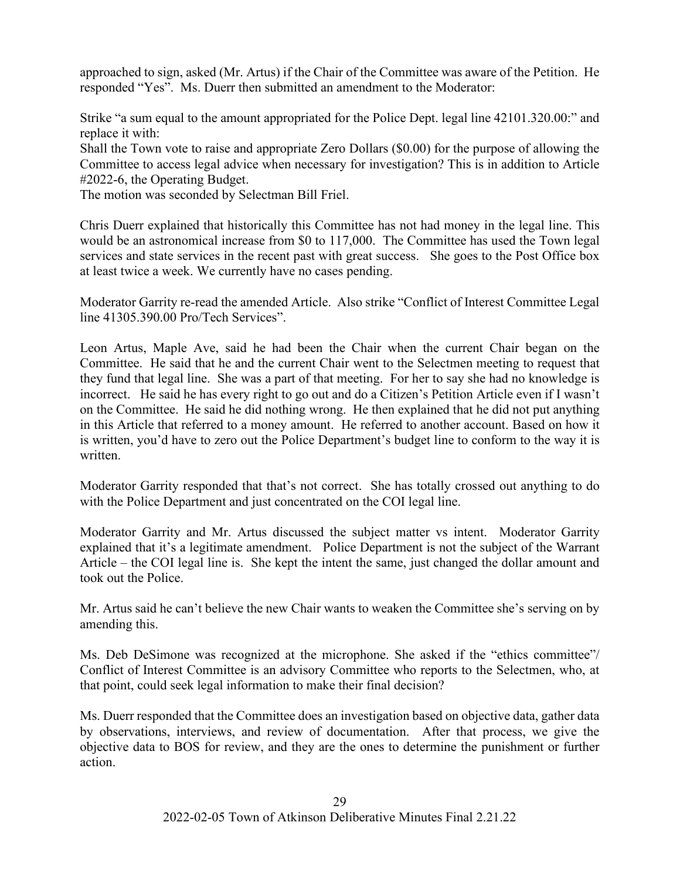approached to sign, asked (Mr. Artus) if the Chair of the Committee was aware of the Petition. He responded "Yes". Ms. Duerr then submitted an amendment to the Moderator:

Strike "a sum equal to the amount appropriated for the Police Dept. legal line 42101.320.00:" and replace it with:

Shall the Town vote to raise and appropriate Zero Dollars (\$0.00) for the purpose of allowing the Committee to access legal advice when necessary for investigation? This is in addition to Article #2022-6, the Operating Budget.

The motion was seconded by Selectman Bill Friel.

Chris Duerr explained that historically this Committee has not had money in the legal line. This would be an astronomical increase from \$0 to 117,000. The Committee has used the Town legal services and state services in the recent past with great success. She goes to the Post Office box at least twice a week. We currently have no cases pending.

Moderator Garrity re-read the amended Article. Also strike "Conflict of Interest Committee Legal line 41305.390.00 Pro/Tech Services".

Leon Artus, Maple Ave, said he had been the Chair when the current Chair began on the Committee. He said that he and the current Chair went to the Selectmen meeting to request that they fund that legal line. She was a part of that meeting. For her to say she had no knowledge is incorrect. He said he has every right to go out and do a Citizen's Petition Article even if I wasn't on the Committee. He said he did nothing wrong. He then explained that he did not put anything in this Article that referred to a money amount. He referred to another account. Based on how it is written, you'd have to zero out the Police Department's budget line to conform to the way it is written.

Moderator Garrity responded that that's not correct. She has totally crossed out anything to do with the Police Department and just concentrated on the COI legal line.

Moderator Garrity and Mr. Artus discussed the subject matter vs intent. Moderator Garrity explained that it's a legitimate amendment. Police Department is not the subject of the Warrant Article – the COI legal line is. She kept the intent the same, just changed the dollar amount and took out the Police.

Mr. Artus said he can't believe the new Chair wants to weaken the Committee she's serving on by amending this.

Ms. Deb DeSimone was recognized at the microphone. She asked if the "ethics committee"/ Conflict of Interest Committee is an advisory Committee who reports to the Selectmen, who, at that point, could seek legal information to make their final decision?

Ms. Duerr responded that the Committee does an investigation based on objective data, gather data by observations, interviews, and review of documentation. After that process, we give the objective data to BOS for review, and they are the ones to determine the punishment or further action.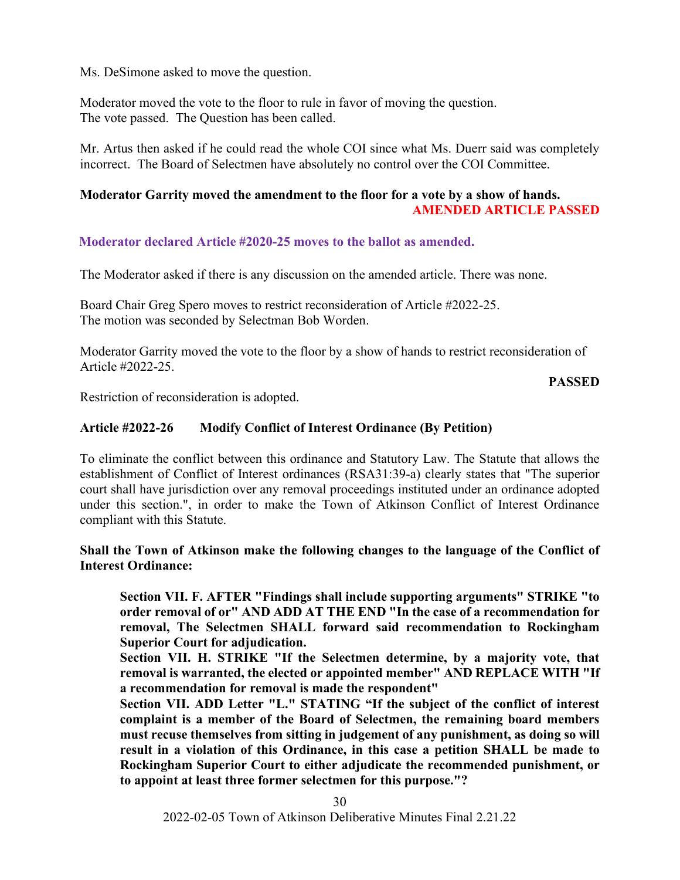Ms. DeSimone asked to move the question.

Moderator moved the vote to the floor to rule in favor of moving the question. The vote passed. The Question has been called.

Mr. Artus then asked if he could read the whole COI since what Ms. Duerr said was completely incorrect. The Board of Selectmen have absolutely no control over the COI Committee.

## **Moderator Garrity moved the amendment to the floor for a vote by a show of hands. AMENDED ARTICLE PASSED**

**Moderator declared Article #2020-25 moves to the ballot as amended.**

The Moderator asked if there is any discussion on the amended article. There was none.

Board Chair Greg Spero moves to restrict reconsideration of Article #2022-25. The motion was seconded by Selectman Bob Worden.

Moderator Garrity moved the vote to the floor by a show of hands to restrict reconsideration of Article #2022-25.

## **PASSED**

Restriction of reconsideration is adopted.

## **Article #2022-26 Modify Conflict of Interest Ordinance (By Petition)**

To eliminate the conflict between this ordinance and Statutory Law. The Statute that allows the establishment of Conflict of Interest ordinances (RSA31:39-a) clearly states that "The superior court shall have jurisdiction over any removal proceedings instituted under an ordinance adopted under this section.", in order to make the Town of Atkinson Conflict of Interest Ordinance compliant with this Statute.

## **Shall the Town of Atkinson make the following changes to the language of the Conflict of Interest Ordinance:**

**Section VII. F. AFTER "Findings shall include supporting arguments" STRIKE "to order removal of or" AND ADD AT THE END "In the case of a recommendation for removal, The Selectmen SHALL forward said recommendation to Rockingham Superior Court for adjudication.**

**Section VII. H. STRIKE "If the Selectmen determine, by a majority vote, that removal is warranted, the elected or appointed member" AND REPLACE WITH "If a recommendation for removal is made the respondent"**

**Section VII. ADD Letter "L." STATING "If the subject of the conflict of interest complaint is a member of the Board of Selectmen, the remaining board members must recuse themselves from sitting in judgement of any punishment, as doing so will result in a violation of this Ordinance, in this case a petition SHALL be made to Rockingham Superior Court to either adjudicate the recommended punishment, or to appoint at least three former selectmen for this purpose."?**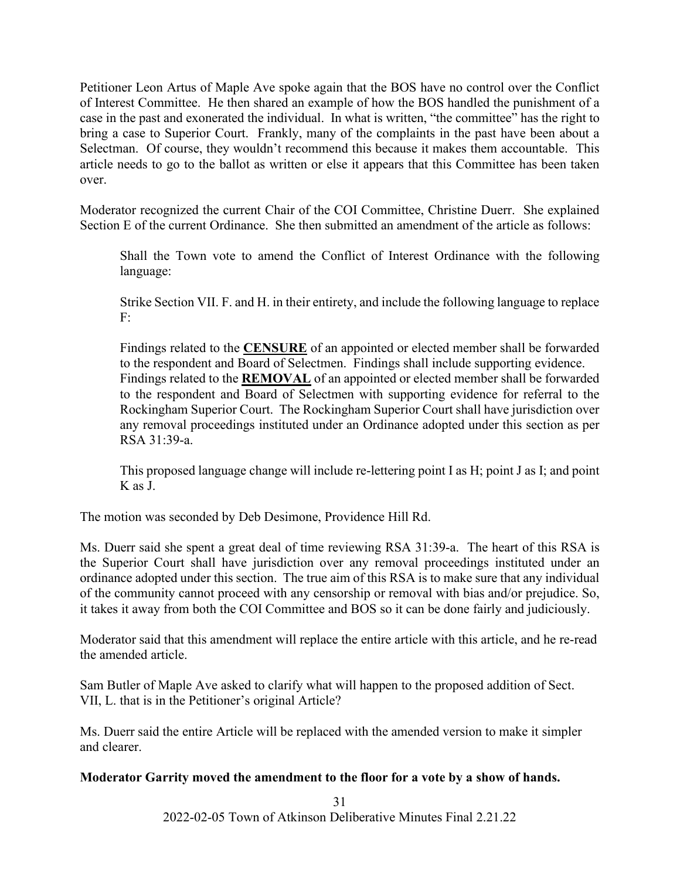Petitioner Leon Artus of Maple Ave spoke again that the BOS have no control over the Conflict of Interest Committee. He then shared an example of how the BOS handled the punishment of a case in the past and exonerated the individual. In what is written, "the committee" has the right to bring a case to Superior Court. Frankly, many of the complaints in the past have been about a Selectman. Of course, they wouldn't recommend this because it makes them accountable. This article needs to go to the ballot as written or else it appears that this Committee has been taken over.

Moderator recognized the current Chair of the COI Committee, Christine Duerr. She explained Section E of the current Ordinance. She then submitted an amendment of the article as follows:

Shall the Town vote to amend the Conflict of Interest Ordinance with the following language:

Strike Section VII. F. and H. in their entirety, and include the following language to replace F:

Findings related to the **CENSURE** of an appointed or elected member shall be forwarded to the respondent and Board of Selectmen. Findings shall include supporting evidence. Findings related to the **REMOVAL** of an appointed or elected member shall be forwarded to the respondent and Board of Selectmen with supporting evidence for referral to the Rockingham Superior Court. The Rockingham Superior Court shall have jurisdiction over any removal proceedings instituted under an Ordinance adopted under this section as per RSA 31:39-a.

This proposed language change will include re-lettering point I as H; point J as I; and point K as J.

The motion was seconded by Deb Desimone, Providence Hill Rd.

Ms. Duerr said she spent a great deal of time reviewing RSA 31:39-a. The heart of this RSA is the Superior Court shall have jurisdiction over any removal proceedings instituted under an ordinance adopted under this section. The true aim of this RSA is to make sure that any individual of the community cannot proceed with any censorship or removal with bias and/or prejudice. So, it takes it away from both the COI Committee and BOS so it can be done fairly and judiciously.

Moderator said that this amendment will replace the entire article with this article, and he re-read the amended article.

Sam Butler of Maple Ave asked to clarify what will happen to the proposed addition of Sect. VII, L. that is in the Petitioner's original Article?

Ms. Duerr said the entire Article will be replaced with the amended version to make it simpler and clearer.

## **Moderator Garrity moved the amendment to the floor for a vote by a show of hands.**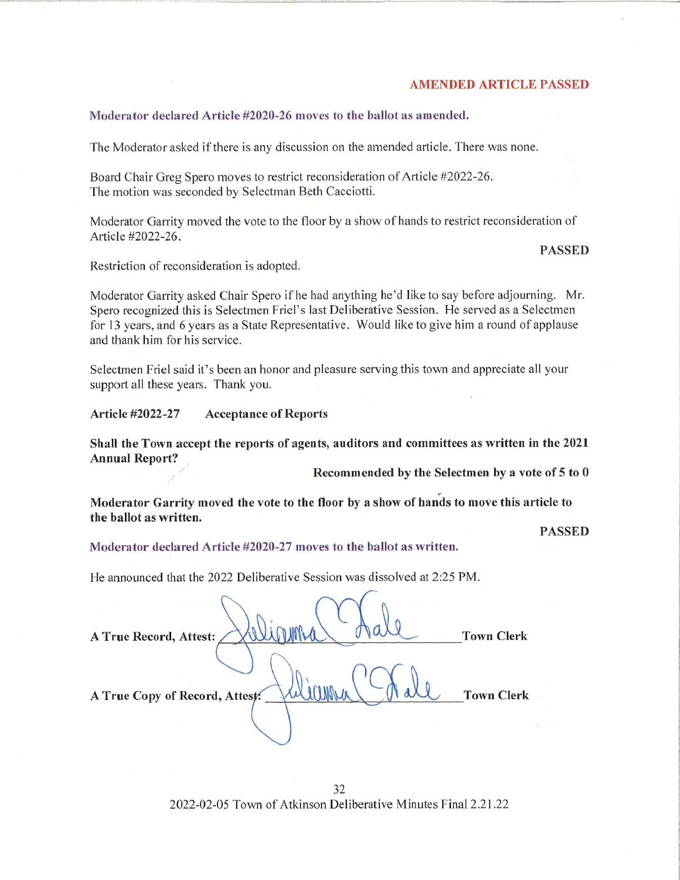#### **AMENDED ARTICLE PASSED**

#### Moderator declared Article #2020-26 moves to the ballot as amended.

The Moderator asked if there is any discussion on the amended article. There was none.

Board Chair Greg Spero moves to restrict reconsideration of Article #2022-26. The motion was seconded by Selectman Beth Cacciotti.

Moderator Garrity moved the vote to the floor by a show of hands to restrict reconsideration of Article #2022-26.

#### PASSED

Restriction of reconsideration is adopted.

Moderator Garrity asked Chair Spero if he had anything he'd like to say before adjourning. Mr. Spero recognized this is Selectmen Friel's last Deliberative Session. He served as a Selectmen for 13 years, and 6 years as a State Representative. Would like to give him a round of applause and thank him for his service.

Selectmen Friel said it's been an honor and pleasure serving this town and appreciate all your support all these years. Thank you.

Article #2022-27 Acceptance of Reports

Shall the Town accept the reports of agents, auditors and committees as written in the 2021 Annual Report?

Recommended by the Selectmen by a vote of 5 to 0

Moderator Garrity moved the vote to the floor by a show of hands to move this article to the ballot as written.

PASSED

#### Moderator declared Article #2020-27 moves to the ballot as written,

He announced that the 2022 Deliberative Session was dissolved at 2:25 PM.

| A True Record, Attest:         | <b>Town Clerk</b> |
|--------------------------------|-------------------|
| A True Copy of Record, Attest: | <b>Town Clerk</b> |
|                                |                   |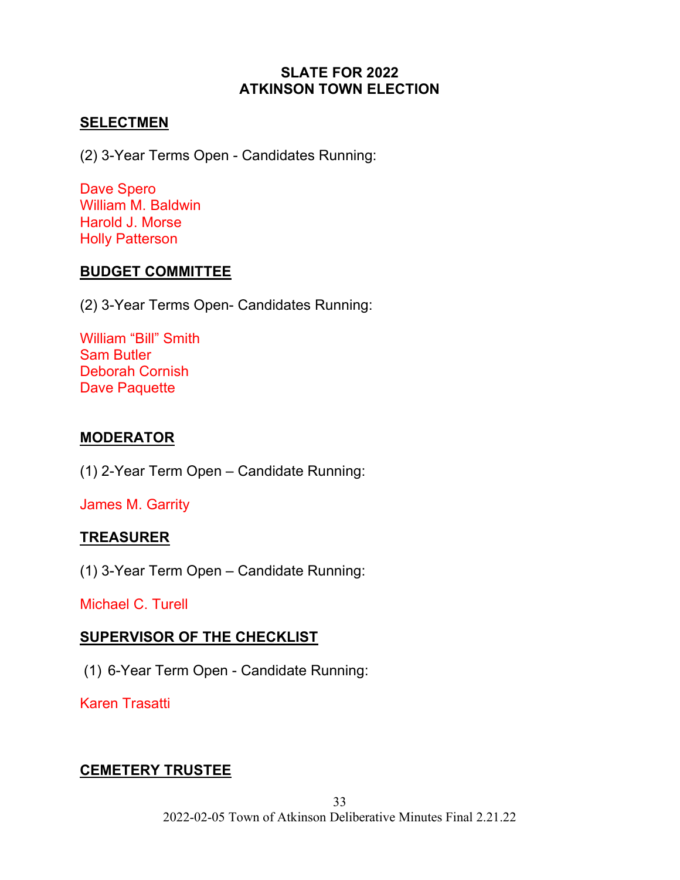# **SLATE FOR 2022 ATKINSON TOWN ELECTION**

# **SELECTMEN**

(2) 3-Year Terms Open - Candidates Running:

Dave Spero William M. Baldwin Harold J. Morse Holly Patterson

# **BUDGET COMMITTEE**

(2) 3-Year Terms Open- Candidates Running:

William "Bill" Smith Sam Butler Deborah Cornish Dave Paquette

# **MODERATOR**

(1) 2-Year Term Open – Candidate Running:

James M. Garrity

# **TREASURER**

(1) 3-Year Term Open – Candidate Running:

Michael C. Turell

# **SUPERVISOR OF THE CHECKLIST**

(1) 6-Year Term Open - Candidate Running:

Karen Trasatti

# **CEMETERY TRUSTEE**